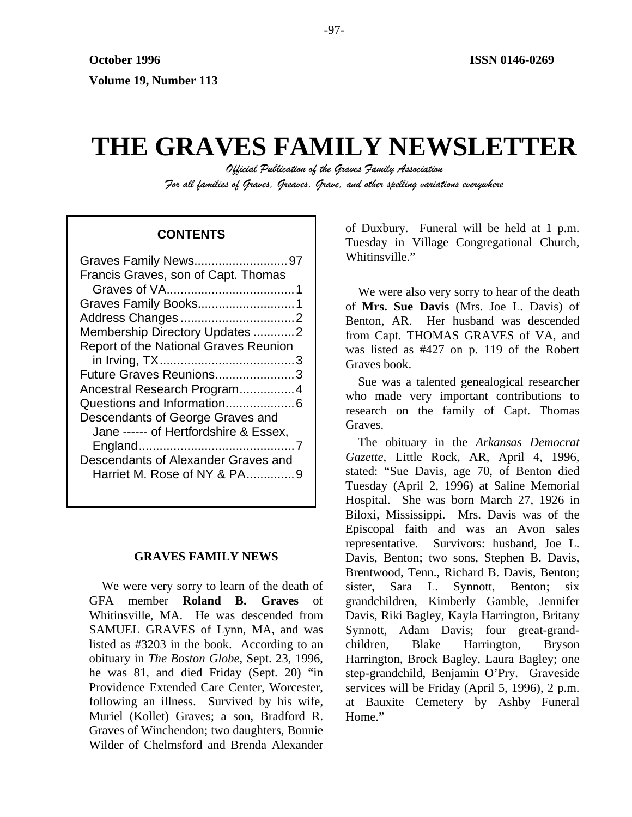# **THE GRAVES FAMILY NEWSLETTER**

*Official Publication of the Graves Family Association For all families of Graves, Greaves, Grave, and other spelling variations everywhere* 

## **CONTENTS**

| Graves Family News97                         |
|----------------------------------------------|
| Francis Graves, son of Capt. Thomas          |
|                                              |
|                                              |
|                                              |
| Membership Directory Updates 2               |
| <b>Report of the National Graves Reunion</b> |
|                                              |
| Future Graves Reunions3                      |
| Ancestral Research Program4                  |
|                                              |
| Descendants of George Graves and             |
| Jane ------ of Hertfordshire & Essex,        |
|                                              |
| Descendants of Alexander Graves and          |
| Harriet M. Rose of NY & PA9                  |
|                                              |

#### **GRAVES FAMILY NEWS**

We were very sorry to learn of the death of GFA member **Roland B. Graves** of Whitinsville, MA. He was descended from SAMUEL GRAVES of Lynn, MA, and was listed as #3203 in the book. According to an obituary in *The Boston Globe*, Sept. 23, 1996, he was 81, and died Friday (Sept. 20) "in Providence Extended Care Center, Worcester, following an illness. Survived by his wife, Muriel (Kollet) Graves; a son, Bradford R. Graves of Winchendon; two daughters, Bonnie Wilder of Chelmsford and Brenda Alexander of Duxbury. Funeral will be held at 1 p.m. Tuesday in Village Congregational Church, Whitinsville."

We were also very sorry to hear of the death of **Mrs. Sue Davis** (Mrs. Joe L. Davis) of Benton, AR. Her husband was descended from Capt. THOMAS GRAVES of VA, and was listed as #427 on p. 119 of the Robert Graves book.

Sue was a talented genealogical researcher who made very important contributions to research on the family of Capt. Thomas Graves.

The obituary in the *Arkansas Democrat Gazette*, Little Rock, AR, April 4, 1996, stated: "Sue Davis, age 70, of Benton died Tuesday (April 2, 1996) at Saline Memorial Hospital. She was born March 27, 1926 in Biloxi, Mississippi. Mrs. Davis was of the Episcopal faith and was an Avon sales representative. Survivors: husband, Joe L. Davis, Benton; two sons, Stephen B. Davis, Brentwood, Tenn., Richard B. Davis, Benton; sister, Sara L. Synnott, Benton; six grandchildren, Kimberly Gamble, Jennifer Davis, Riki Bagley, Kayla Harrington, Britany Synnott, Adam Davis; four great-grandchildren, Blake Harrington, Bryson Harrington, Brock Bagley, Laura Bagley; one step-grandchild, Benjamin O'Pry. Graveside services will be Friday (April 5, 1996), 2 p.m. at Bauxite Cemetery by Ashby Funeral Home."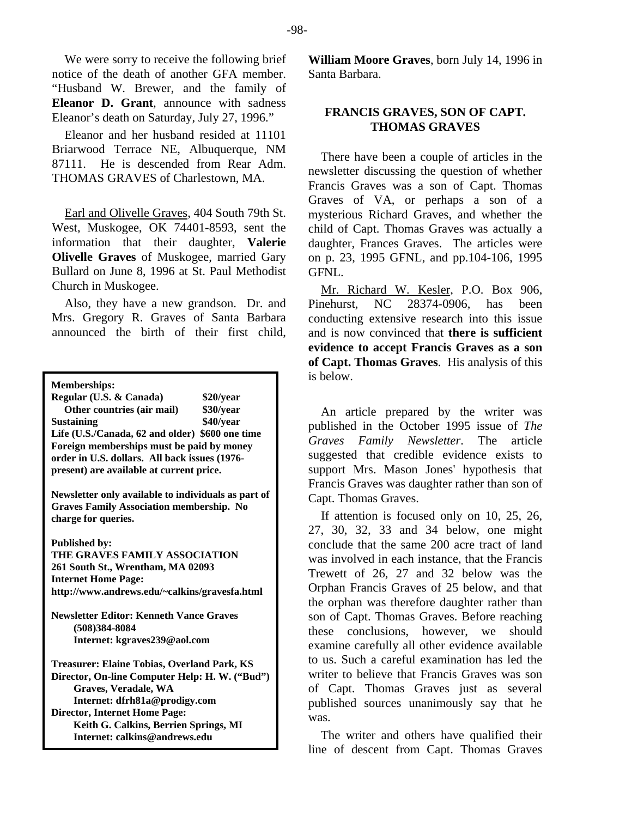We were sorry to receive the following brief notice of the death of another GFA member. "Husband W. Brewer, and the family of **Eleanor D. Grant**, announce with sadness Eleanor's death on Saturday, July 27, 1996."

Eleanor and her husband resided at 11101 Briarwood Terrace NE, Albuquerque, NM 87111. He is descended from Rear Adm. THOMAS GRAVES of Charlestown, MA.

Earl and Olivelle Graves, 404 South 79th St. West, Muskogee, OK 74401-8593, sent the information that their daughter, **Valerie Olivelle Graves** of Muskogee, married Gary Bullard on June 8, 1996 at St. Paul Methodist Church in Muskogee.

Also, they have a new grandson. Dr. and Mrs. Gregory R. Graves of Santa Barbara announced the birth of their first child,

**Memberships:** 

**Regular (U.S. & Canada) \$20/year Other countries (air mail) \$30/year Sustaining \$40/year Life (U.S./Canada, 62 and older) \$600 one time Foreign memberships must be paid by money order in U.S. dollars. All back issues (1976 present) are available at current price.** 

**Newsletter only available to individuals as part of Graves Family Association membership. No charge for queries.** 

**Published by:** 

**THE GRAVES FAMILY ASSOCIATION 261 South St., Wrentham, MA 02093 Internet Home Page: http://www.andrews.edu/~calkins/gravesfa.html** 

**Newsletter Editor: Kenneth Vance Graves (508)384-8084 Internet: kgraves239@aol.com** 

**Treasurer: Elaine Tobias, Overland Park, KS Director, On-line Computer Help: H. W. ("Bud") Graves, Veradale, WA Internet: dfrh81a@prodigy.com Director, Internet Home Page: Keith G. Calkins, Berrien Springs, MI Internet: calkins@andrews.edu**

**William Moore Graves**, born July 14, 1996 in Santa Barbara.

## **FRANCIS GRAVES, SON OF CAPT. THOMAS GRAVES**

There have been a couple of articles in the newsletter discussing the question of whether Francis Graves was a son of Capt. Thomas Graves of VA, or perhaps a son of a mysterious Richard Graves, and whether the child of Capt. Thomas Graves was actually a daughter, Frances Graves. The articles were on p. 23, 1995 GFNL, and pp.104-106, 1995 GFNL.

Mr. Richard W. Kesler, P.O. Box 906, Pinehurst, NC 28374-0906, has been conducting extensive research into this issue and is now convinced that **there is sufficient evidence to accept Francis Graves as a son of Capt. Thomas Graves**. His analysis of this is below.

An article prepared by the writer was published in the October 1995 issue of *The Graves Family Newsletter*. The article suggested that credible evidence exists to support Mrs. Mason Jones' hypothesis that Francis Graves was daughter rather than son of Capt. Thomas Graves.

If attention is focused only on 10, 25, 26, 27, 30, 32, 33 and 34 below, one might conclude that the same 200 acre tract of land was involved in each instance, that the Francis Trewett of 26, 27 and 32 below was the Orphan Francis Graves of 25 below, and that the orphan was therefore daughter rather than son of Capt. Thomas Graves. Before reaching these conclusions, however, we should examine carefully all other evidence available to us. Such a careful examination has led the writer to believe that Francis Graves was son of Capt. Thomas Graves just as several published sources unanimously say that he was.

The writer and others have qualified their line of descent from Capt. Thomas Graves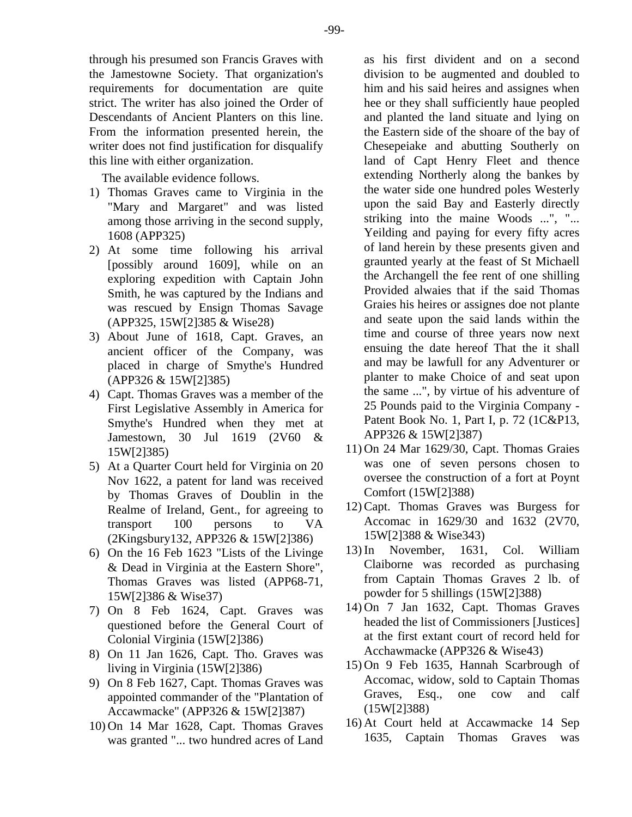through his presumed son Francis Graves with the Jamestowne Society. That organization's requirements for documentation are quite strict. The writer has also joined the Order of Descendants of Ancient Planters on this line. From the information presented herein, the writer does not find justification for disqualify this line with either organization.

The available evidence follows.

- 1) Thomas Graves came to Virginia in the "Mary and Margaret" and was listed among those arriving in the second supply, 1608 (APP325)
- 2) At some time following his arrival [possibly around 1609], while on an exploring expedition with Captain John Smith, he was captured by the Indians and was rescued by Ensign Thomas Savage (APP325, 15W[2]385 & Wise28)
- 3) About June of 1618, Capt. Graves, an ancient officer of the Company, was placed in charge of Smythe's Hundred (APP326 & 15W[2]385)
- 4) Capt. Thomas Graves was a member of the First Legislative Assembly in America for Smythe's Hundred when they met at Jamestown, 30 Jul 1619 (2V60 & 15W[2]385)
- 5) At a Quarter Court held for Virginia on 20 Nov 1622, a patent for land was received by Thomas Graves of Doublin in the Realme of Ireland, Gent., for agreeing to transport 100 persons to VA (2Kingsbury132, APP326 & 15W[2]386)
- 6) On the 16 Feb 1623 "Lists of the Livinge & Dead in Virginia at the Eastern Shore", Thomas Graves was listed (APP68-71, 15W[2]386 & Wise37)
- 7) On 8 Feb 1624, Capt. Graves was questioned before the General Court of Colonial Virginia (15W[2]386)
- 8) On 11 Jan 1626, Capt. Tho. Graves was living in Virginia (15W[2]386)
- 9) On 8 Feb 1627, Capt. Thomas Graves was appointed commander of the "Plantation of Accawmacke" (APP326 & 15W[2]387)
- 10) On 14 Mar 1628, Capt. Thomas Graves was granted "... two hundred acres of Land

as his first divident and on a second division to be augmented and doubled to him and his said heires and assignes when hee or they shall sufficiently haue peopled and planted the land situate and lying on the Eastern side of the shoare of the bay of Chesepeiake and abutting Southerly on land of Capt Henry Fleet and thence extending Northerly along the bankes by the water side one hundred poles Westerly upon the said Bay and Easterly directly striking into the maine Woods ...", "... Yeilding and paying for every fifty acres of land herein by these presents given and graunted yearly at the feast of St Michaell the Archangell the fee rent of one shilling Provided alwaies that if the said Thomas Graies his heires or assignes doe not plante and seate upon the said lands within the time and course of three years now next ensuing the date hereof That the it shall and may be lawfull for any Adventurer or planter to make Choice of and seat upon the same ...", by virtue of his adventure of 25 Pounds paid to the Virginia Company - Patent Book No. 1, Part I, p. 72 (1C&P13, APP326 & 15W[2]387)

- 11) On 24 Mar 1629/30, Capt. Thomas Graies was one of seven persons chosen to oversee the construction of a fort at Poynt Comfort (15W[2]388)
- 12) Capt. Thomas Graves was Burgess for Accomac in 1629/30 and 1632 (2V70, 15W[2]388 & Wise343)
- 13) In November, 1631, Col. William Claiborne was recorded as purchasing from Captain Thomas Graves 2 lb. of powder for 5 shillings (15W[2]388)
- 14) On 7 Jan 1632, Capt. Thomas Graves headed the list of Commissioners [Justices] at the first extant court of record held for Acchawmacke (APP326 & Wise43)
- 15) On 9 Feb 1635, Hannah Scarbrough of Accomac, widow, sold to Captain Thomas Graves, Esq., one cow and calf (15W[2]388)
- 16) At Court held at Accawmacke 14 Sep 1635, Captain Thomas Graves was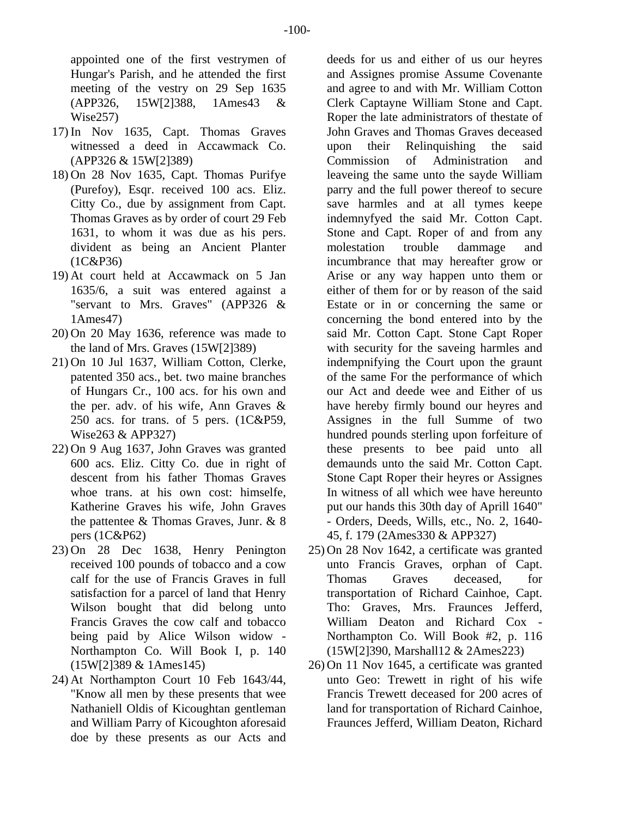appointed one of the first vestrymen of Hungar's Parish, and he attended the first meeting of the vestry on 29 Sep 1635 (APP326, 15W[2]388, 1Ames43 & Wise257)

- 17) In Nov 1635, Capt. Thomas Graves witnessed a deed in Accawmack Co. (APP326 & 15W[2]389)
- 18) On 28 Nov 1635, Capt. Thomas Purifye (Purefoy), Esqr. received 100 acs. Eliz. Citty Co., due by assignment from Capt. Thomas Graves as by order of court 29 Feb 1631, to whom it was due as his pers. divident as being an Ancient Planter (1C&P36)
- 19) At court held at Accawmack on 5 Jan 1635/6, a suit was entered against a "servant to Mrs. Graves" (APP326 & 1Ames47)
- 20) On 20 May 1636, reference was made to the land of Mrs. Graves (15W[2]389)
- 21) On 10 Jul 1637, William Cotton, Clerke, patented 350 acs., bet. two maine branches of Hungars Cr., 100 acs. for his own and the per. adv. of his wife, Ann Graves & 250 acs. for trans. of 5 pers. (1C&P59, Wise263 & APP327)
- 22) On 9 Aug 1637, John Graves was granted 600 acs. Eliz. Citty Co. due in right of descent from his father Thomas Graves whoe trans, at his own cost: himselfe, Katherine Graves his wife, John Graves the pattentee & Thomas Graves, Junr. & 8 pers (1C&P62)
- 23) On 28 Dec 1638, Henry Penington received 100 pounds of tobacco and a cow calf for the use of Francis Graves in full satisfaction for a parcel of land that Henry Wilson bought that did belong unto Francis Graves the cow calf and tobacco being paid by Alice Wilson widow - Northampton Co. Will Book I, p. 140 (15W[2]389 & 1Ames145)
- 24) At Northampton Court 10 Feb 1643/44, "Know all men by these presents that wee Nathaniell Oldis of Kicoughtan gentleman and William Parry of Kicoughton aforesaid doe by these presents as our Acts and

deeds for us and either of us our heyres and Assignes promise Assume Covenante and agree to and with Mr. William Cotton Clerk Captayne William Stone and Capt. Roper the late administrators of thestate of John Graves and Thomas Graves deceased upon their Relinquishing the said Commission of Administration and leaveing the same unto the sayde William parry and the full power thereof to secure save harmles and at all tymes keepe indemnyfyed the said Mr. Cotton Capt. Stone and Capt. Roper of and from any molestation trouble dammage and incumbrance that may hereafter grow or Arise or any way happen unto them or either of them for or by reason of the said Estate or in or concerning the same or concerning the bond entered into by the said Mr. Cotton Capt. Stone Capt Roper with security for the saveing harmles and indempnifying the Court upon the graunt of the same For the performance of which our Act and deede wee and Either of us have hereby firmly bound our heyres and Assignes in the full Summe of two hundred pounds sterling upon forfeiture of these presents to bee paid unto all demaunds unto the said Mr. Cotton Capt. Stone Capt Roper their heyres or Assignes In witness of all which wee have hereunto put our hands this 30th day of Aprill 1640" - Orders, Deeds, Wills, etc., No. 2, 1640- 45, f. 179 (2Ames330 & APP327)

- 25) On 28 Nov 1642, a certificate was granted unto Francis Graves, orphan of Capt. Thomas Graves deceased, for transportation of Richard Cainhoe, Capt. Tho: Graves, Mrs. Fraunces Jefferd, William Deaton and Richard Cox - Northampton Co. Will Book #2, p. 116 (15W[2]390, Marshall12 & 2Ames223)
- 26) On 11 Nov 1645, a certificate was granted unto Geo: Trewett in right of his wife Francis Trewett deceased for 200 acres of land for transportation of Richard Cainhoe, Fraunces Jefferd, William Deaton, Richard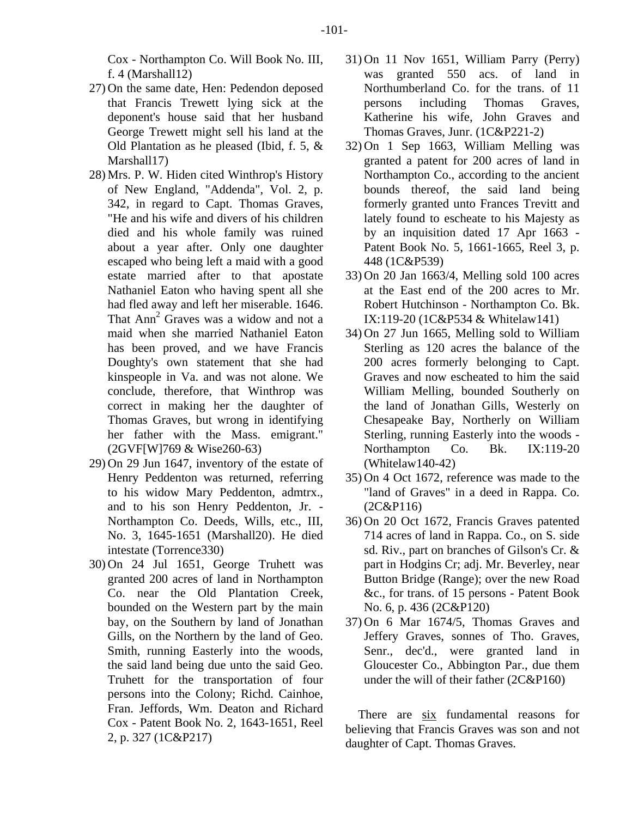- 27) On the same date, Hen: Pedendon deposed that Francis Trewett lying sick at the deponent's house said that her husband George Trewett might sell his land at the Old Plantation as he pleased (Ibid, f. 5, & Marshall17)
- 28) Mrs. P. W. Hiden cited Winthrop's History of New England, "Addenda", Vol. 2, p. 342, in regard to Capt. Thomas Graves, "He and his wife and divers of his children died and his whole family was ruined about a year after. Only one daughter escaped who being left a maid with a good estate married after to that apostate Nathaniel Eaton who having spent all she had fled away and left her miserable. 1646. That Ann<sup>2</sup> Graves was a widow and not a maid when she married Nathaniel Eaton has been proved, and we have Francis Doughty's own statement that she had kinspeople in Va. and was not alone. We conclude, therefore, that Winthrop was correct in making her the daughter of Thomas Graves, but wrong in identifying her father with the Mass. emigrant." (2GVF[W]769 & Wise260-63)
- 29) On 29 Jun 1647, inventory of the estate of Henry Peddenton was returned, referring to his widow Mary Peddenton, admtrx., and to his son Henry Peddenton, Jr. - Northampton Co. Deeds, Wills, etc., III, No. 3, 1645-1651 (Marshall20). He died intestate (Torrence330)
- 30) On 24 Jul 1651, George Truhett was granted 200 acres of land in Northampton Co. near the Old Plantation Creek, bounded on the Western part by the main bay, on the Southern by land of Jonathan Gills, on the Northern by the land of Geo. Smith, running Easterly into the woods, the said land being due unto the said Geo. Truhett for the transportation of four persons into the Colony; Richd. Cainhoe, Fran. Jeffords, Wm. Deaton and Richard Cox - Patent Book No. 2, 1643-1651, Reel 2, p. 327 (1C&P217)
- 31) On 11 Nov 1651, William Parry (Perry) was granted 550 acs. of land in Northumberland Co. for the trans. of 11 persons including Thomas Graves, Katherine his wife, John Graves and Thomas Graves, Junr. (1C&P221-2)
- 32) On 1 Sep 1663, William Melling was granted a patent for 200 acres of land in Northampton Co., according to the ancient bounds thereof, the said land being formerly granted unto Frances Trevitt and lately found to escheate to his Majesty as by an inquisition dated 17 Apr 1663 - Patent Book No. 5, 1661-1665, Reel 3, p. 448 (1C&P539)
- 33) On 20 Jan 1663/4, Melling sold 100 acres at the East end of the 200 acres to Mr. Robert Hutchinson - Northampton Co. Bk. IX:119-20 (1C&P534 & Whitelaw141)
- 34) On 27 Jun 1665, Melling sold to William Sterling as 120 acres the balance of the 200 acres formerly belonging to Capt. Graves and now escheated to him the said William Melling, bounded Southerly on the land of Jonathan Gills, Westerly on Chesapeake Bay, Northerly on William Sterling, running Easterly into the woods - Northampton Co. Bk. IX:119-20 (Whitelaw140-42)
- 35) On 4 Oct 1672, reference was made to the "land of Graves" in a deed in Rappa. Co. (2C&P116)
- 36) On 20 Oct 1672, Francis Graves patented 714 acres of land in Rappa. Co., on S. side sd. Riv., part on branches of Gilson's Cr. & part in Hodgins Cr; adj. Mr. Beverley, near Button Bridge (Range); over the new Road &c., for trans. of 15 persons - Patent Book No. 6, p. 436 (2C&P120)
- 37) On 6 Mar 1674/5, Thomas Graves and Jeffery Graves, sonnes of Tho. Graves, Senr., dec'd., were granted land in Gloucester Co., Abbington Par., due them under the will of their father (2C&P160)

There are six fundamental reasons for believing that Francis Graves was son and not daughter of Capt. Thomas Graves.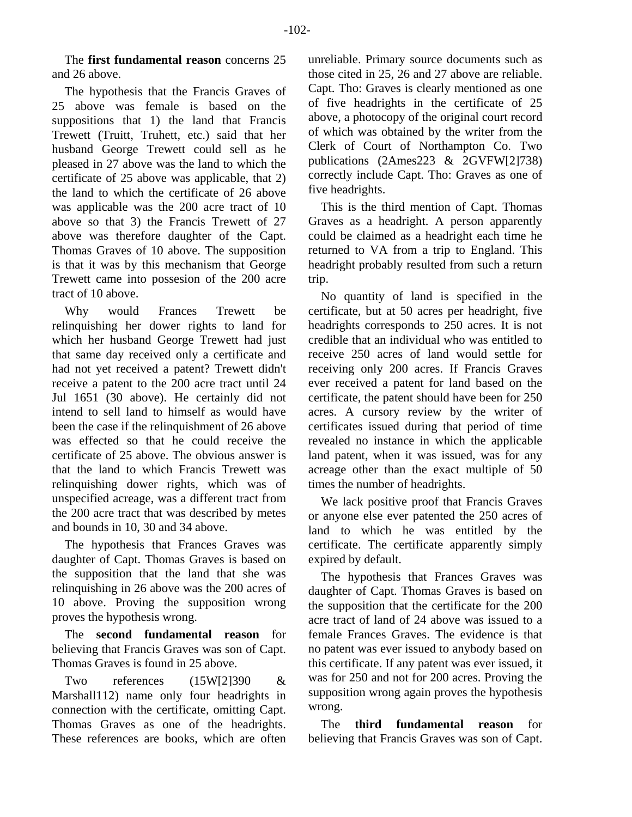The **first fundamental reason** concerns 25 and 26 above.

The hypothesis that the Francis Graves of 25 above was female is based on the suppositions that 1) the land that Francis Trewett (Truitt, Truhett, etc.) said that her husband George Trewett could sell as he pleased in 27 above was the land to which the certificate of 25 above was applicable, that 2) the land to which the certificate of 26 above was applicable was the 200 acre tract of 10 above so that 3) the Francis Trewett of 27 above was therefore daughter of the Capt. Thomas Graves of 10 above. The supposition is that it was by this mechanism that George Trewett came into possesion of the 200 acre tract of 10 above.

Why would Frances Trewett be relinquishing her dower rights to land for which her husband George Trewett had just that same day received only a certificate and had not yet received a patent? Trewett didn't receive a patent to the 200 acre tract until 24 Jul 1651 (30 above). He certainly did not intend to sell land to himself as would have been the case if the relinquishment of 26 above was effected so that he could receive the certificate of 25 above. The obvious answer is that the land to which Francis Trewett was relinquishing dower rights, which was of unspecified acreage, was a different tract from the 200 acre tract that was described by metes and bounds in 10, 30 and 34 above.

The hypothesis that Frances Graves was daughter of Capt. Thomas Graves is based on the supposition that the land that she was relinquishing in 26 above was the 200 acres of 10 above. Proving the supposition wrong proves the hypothesis wrong.

The **second fundamental reason** for believing that Francis Graves was son of Capt. Thomas Graves is found in 25 above.

Two references (15W[2]390 & Marshall112) name only four headrights in connection with the certificate, omitting Capt. Thomas Graves as one of the headrights. These references are books, which are often

unreliable. Primary source documents such as those cited in 25, 26 and 27 above are reliable. Capt. Tho: Graves is clearly mentioned as one of five headrights in the certificate of 25 above, a photocopy of the original court record of which was obtained by the writer from the Clerk of Court of Northampton Co. Two publications (2Ames223 & 2GVFW[2]738) correctly include Capt. Tho: Graves as one of five headrights.

This is the third mention of Capt. Thomas Graves as a headright. A person apparently could be claimed as a headright each time he returned to VA from a trip to England. This headright probably resulted from such a return trip.

No quantity of land is specified in the certificate, but at 50 acres per headright, five headrights corresponds to 250 acres. It is not credible that an individual who was entitled to receive 250 acres of land would settle for receiving only 200 acres. If Francis Graves ever received a patent for land based on the certificate, the patent should have been for 250 acres. A cursory review by the writer of certificates issued during that period of time revealed no instance in which the applicable land patent, when it was issued, was for any acreage other than the exact multiple of 50 times the number of headrights.

We lack positive proof that Francis Graves or anyone else ever patented the 250 acres of land to which he was entitled by the certificate. The certificate apparently simply expired by default.

The hypothesis that Frances Graves was daughter of Capt. Thomas Graves is based on the supposition that the certificate for the 200 acre tract of land of 24 above was issued to a female Frances Graves. The evidence is that no patent was ever issued to anybody based on this certificate. If any patent was ever issued, it was for 250 and not for 200 acres. Proving the supposition wrong again proves the hypothesis wrong.

The **third fundamental reason** for believing that Francis Graves was son of Capt.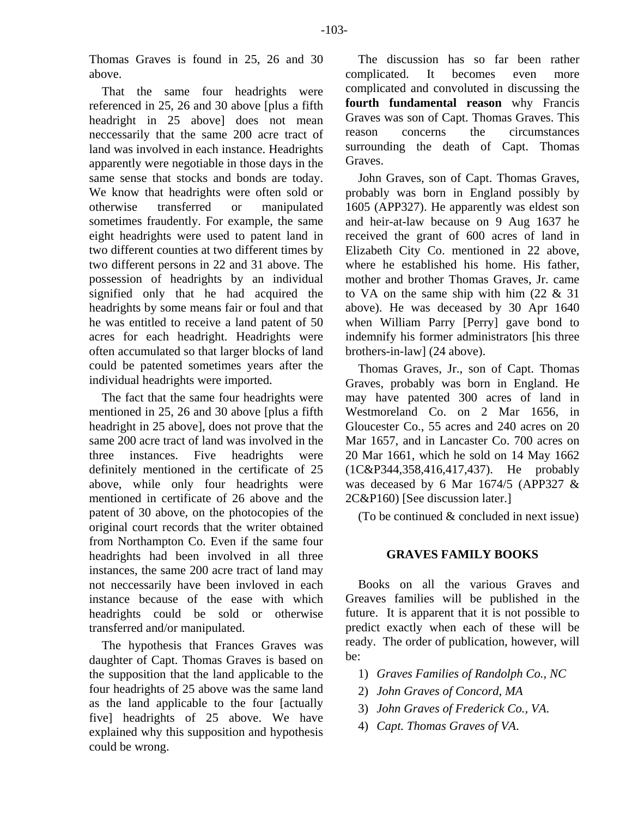Thomas Graves is found in 25, 26 and 30 above.

That the same four headrights were referenced in 25, 26 and 30 above [plus a fifth headright in 25 above] does not mean neccessarily that the same 200 acre tract of land was involved in each instance. Headrights apparently were negotiable in those days in the same sense that stocks and bonds are today. We know that headrights were often sold or otherwise transferred or manipulated sometimes fraudently. For example, the same eight headrights were used to patent land in two different counties at two different times by two different persons in 22 and 31 above. The possession of headrights by an individual signified only that he had acquired the headrights by some means fair or foul and that he was entitled to receive a land patent of 50 acres for each headright. Headrights were often accumulated so that larger blocks of land could be patented sometimes years after the individual headrights were imported.

The fact that the same four headrights were mentioned in 25, 26 and 30 above [plus a fifth headright in 25 above], does not prove that the same 200 acre tract of land was involved in the three instances. Five headrights were definitely mentioned in the certificate of 25 above, while only four headrights were mentioned in certificate of 26 above and the patent of 30 above, on the photocopies of the original court records that the writer obtained from Northampton Co. Even if the same four headrights had been involved in all three instances, the same 200 acre tract of land may not neccessarily have been invloved in each instance because of the ease with which headrights could be sold or otherwise transferred and/or manipulated.

The hypothesis that Frances Graves was daughter of Capt. Thomas Graves is based on the supposition that the land applicable to the four headrights of 25 above was the same land as the land applicable to the four [actually five] headrights of 25 above. We have explained why this supposition and hypothesis could be wrong.

The discussion has so far been rather complicated. It becomes even more complicated and convoluted in discussing the **fourth fundamental reason** why Francis Graves was son of Capt. Thomas Graves. This reason concerns the circumstances surrounding the death of Capt. Thomas Graves.

John Graves, son of Capt. Thomas Graves, probably was born in England possibly by 1605 (APP327). He apparently was eldest son and heir-at-law because on 9 Aug 1637 he received the grant of 600 acres of land in Elizabeth City Co. mentioned in 22 above, where he established his home. His father, mother and brother Thomas Graves, Jr. came to VA on the same ship with him  $(22 \& 31)$ above). He was deceased by 30 Apr 1640 when William Parry [Perry] gave bond to indemnify his former administrators [his three brothers-in-law] (24 above).

Thomas Graves, Jr., son of Capt. Thomas Graves, probably was born in England. He may have patented 300 acres of land in Westmoreland Co. on 2 Mar 1656, in Gloucester Co., 55 acres and 240 acres on 20 Mar 1657, and in Lancaster Co. 700 acres on 20 Mar 1661, which he sold on 14 May 1662 (1C&P344,358,416,417,437). He probably was deceased by 6 Mar 1674/5 (APP327 & 2C&P160) [See discussion later.]

(To be continued & concluded in next issue)

## **GRAVES FAMILY BOOKS**

Books on all the various Graves and Greaves families will be published in the future. It is apparent that it is not possible to predict exactly when each of these will be ready. The order of publication, however, will be:

- 1) *Graves Families of Randolph Co., NC*
- 2) *John Graves of Concord, MA*
- 3) *John Graves of Frederick Co., VA*.
- 4) *Capt. Thomas Graves of VA*.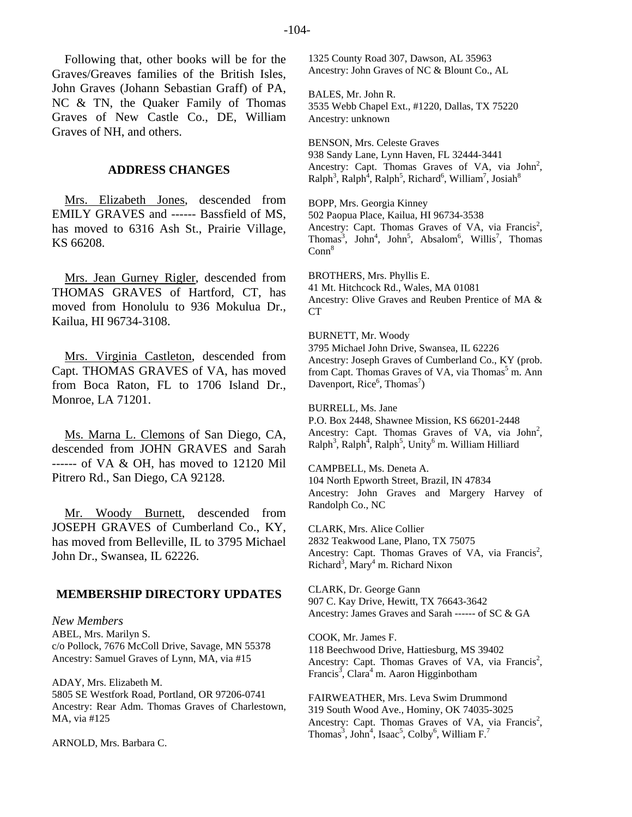Following that, other books will be for the Graves/Greaves families of the British Isles, John Graves (Johann Sebastian Graff) of PA, NC & TN, the Quaker Family of Thomas Graves of New Castle Co., DE, William Graves of NH, and others.

#### **ADDRESS CHANGES**

Mrs. Elizabeth Jones, descended from EMILY GRAVES and ------ Bassfield of MS, has moved to 6316 Ash St., Prairie Village, KS 66208.

Mrs. Jean Gurney Rigler, descended from THOMAS GRAVES of Hartford, CT, has moved from Honolulu to 936 Mokulua Dr., Kailua, HI 96734-3108.

Mrs. Virginia Castleton, descended from Capt. THOMAS GRAVES of VA, has moved from Boca Raton, FL to 1706 Island Dr., Monroe, LA 71201.

Ms. Marna L. Clemons of San Diego, CA, descended from JOHN GRAVES and Sarah  $---$  of VA & OH, has moved to 12120 Mil Pitrero Rd., San Diego, CA 92128.

Mr. Woody Burnett, descended from JOSEPH GRAVES of Cumberland Co., KY, has moved from Belleville, IL to 3795 Michael John Dr., Swansea, IL 62226.

#### **MEMBERSHIP DIRECTORY UPDATES**

*New Members*  ABEL, Mrs. Marilyn S. c/o Pollock, 7676 McColl Drive, Savage, MN 55378 Ancestry: Samuel Graves of Lynn, MA, via #15

ADAY, Mrs. Elizabeth M. 5805 SE Westfork Road, Portland, OR 97206-0741 Ancestry: Rear Adm. Thomas Graves of Charlestown, MA, via #125

ARNOLD, Mrs. Barbara C.

1325 County Road 307, Dawson, AL 35963 Ancestry: John Graves of NC & Blount Co., AL

BALES, Mr. John R. 3535 Webb Chapel Ext., #1220, Dallas, TX 75220 Ancestry: unknown

BENSON, Mrs. Celeste Graves 938 Sandy Lane, Lynn Haven, FL 32444-3441 Ancestry: Capt. Thomas Graves of VA, via John<sup>2</sup>,  $\text{Ralph}^3$ ,  $\text{Ralph}^4$ ,  $\text{Ralph}^5$ ,  $\text{Richard}^6$ ,  $\text{William}^7$ ,  $\text{Josiah}^8$ 

BOPP, Mrs. Georgia Kinney 502 Paopua Place, Kailua, HI 96734-3538 Ancestry: Capt. Thomas Graves of VA, via Francis<sup>2</sup>, Thomas<sup>3</sup>, John<sup>4</sup>, John<sup>5</sup>, Absalom<sup>6</sup>, Willis<sup>7</sup>, Thomas  $Conn<sup>8</sup>$ 

BROTHERS, Mrs. Phyllis E. 41 Mt. Hitchcock Rd., Wales, MA 01081 Ancestry: Olive Graves and Reuben Prentice of MA & CT

BURNETT, Mr. Woody 3795 Michael John Drive, Swansea, IL 62226 Ancestry: Joseph Graves of Cumberland Co., KY (prob. from Capt. Thomas Graves of VA, via Thomas<sup>5</sup> m. Ann Davenport, Rice<sup>6</sup>, Thomas<sup>7</sup>)

BURRELL, Ms. Jane P.O. Box 2448, Shawnee Mission, KS 66201-2448 Ancestry: Capt. Thomas Graves of VA, via  $John<sup>2</sup>$ ,  $\text{Ralph}^3$ ,  $\text{Ralph}^4$ ,  $\text{Ralph}^5$ , Unity<sup>6</sup> m. William Hilliard

CAMPBELL, Ms. Deneta A. 104 North Epworth Street, Brazil, IN 47834 Ancestry: John Graves and Margery Harvey of Randolph Co., NC

CLARK, Mrs. Alice Collier 2832 Teakwood Lane, Plano, TX 75075 Ancestry: Capt. Thomas Graves of VA, via Francis<sup>2</sup>, Richard<sup>3</sup>, Mary<sup>4</sup> m. Richard Nixon

CLARK, Dr. George Gann 907 C. Kay Drive, Hewitt, TX 76643-3642 Ancestry: James Graves and Sarah ------ of SC & GA

COOK, Mr. James F. 118 Beechwood Drive, Hattiesburg, MS 39402 Ancestry: Capt. Thomas Graves of VA, via Francis<sup>2</sup>, Francis<sup>3</sup>, Clara<sup>4</sup> m. Aaron Higginbotham

FAIRWEATHER, Mrs. Leva Swim Drummond 319 South Wood Ave., Hominy, OK 74035-3025 Ancestry: Capt. Thomas Graves of VA, via Francis<sup>2</sup>, Thomas<sup>3</sup>, John<sup>4</sup>, Isaac<sup>5</sup>, Colby<sup>6</sup>, William F.<sup>7</sup>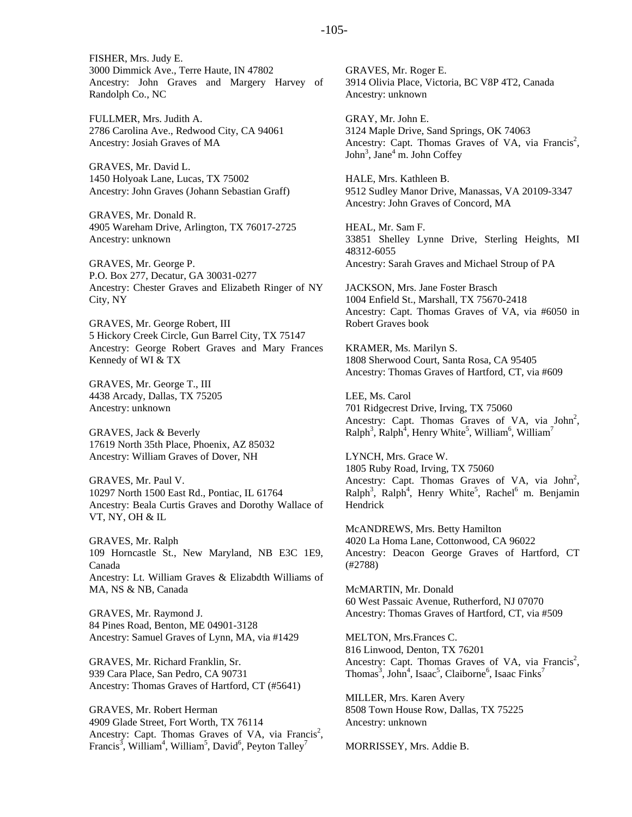FISHER, Mrs. Judy E. 3000 Dimmick Ave., Terre Haute, IN 47802 Ancestry: John Graves and Margery Harvey of Randolph Co., NC

FULLMER, Mrs. Judith A. 2786 Carolina Ave., Redwood City, CA 94061 Ancestry: Josiah Graves of MA

GRAVES, Mr. David L. 1450 Holyoak Lane, Lucas, TX 75002 Ancestry: John Graves (Johann Sebastian Graff)

GRAVES, Mr. Donald R. 4905 Wareham Drive, Arlington, TX 76017-2725 Ancestry: unknown

GRAVES, Mr. George P. P.O. Box 277, Decatur, GA 30031-0277 Ancestry: Chester Graves and Elizabeth Ringer of NY City, NY

GRAVES, Mr. George Robert, III 5 Hickory Creek Circle, Gun Barrel City, TX 75147 Ancestry: George Robert Graves and Mary Frances Kennedy of WI & TX

GRAVES, Mr. George T., III 4438 Arcady, Dallas, TX 75205 Ancestry: unknown

GRAVES, Jack & Beverly 17619 North 35th Place, Phoenix, AZ 85032 Ancestry: William Graves of Dover, NH

GRAVES, Mr. Paul V. 10297 North 1500 East Rd., Pontiac, IL 61764 Ancestry: Beala Curtis Graves and Dorothy Wallace of VT, NY, OH & IL

GRAVES, Mr. Ralph 109 Horncastle St., New Maryland, NB E3C 1E9, Canada Ancestry: Lt. William Graves & Elizabdth Williams of MA, NS & NB, Canada

GRAVES, Mr. Raymond J. 84 Pines Road, Benton, ME 04901-3128 Ancestry: Samuel Graves of Lynn, MA, via #1429

GRAVES, Mr. Richard Franklin, Sr. 939 Cara Place, San Pedro, CA 90731 Ancestry: Thomas Graves of Hartford, CT (#5641)

GRAVES, Mr. Robert Herman 4909 Glade Street, Fort Worth, TX 76114 Ancestry: Capt. Thomas Graves of VA, via Francis<sup>2</sup>, Francis<sup>3</sup>, William<sup>4</sup>, William<sup>5</sup>, David<sup>6</sup>, Peyton Talley<sup>7</sup>

GRAVES, Mr. Roger E. 3914 Olivia Place, Victoria, BC V8P 4T2, Canada Ancestry: unknown

GRAY, Mr. John E. 3124 Maple Drive, Sand Springs, OK 74063 Ancestry: Capt. Thomas Graves of VA, via Francis<sup>2</sup>, John<sup>3</sup>, Jane<sup>4</sup> m. John Coffey

HALE, Mrs. Kathleen B. 9512 Sudley Manor Drive, Manassas, VA 20109-3347 Ancestry: John Graves of Concord, MA

HEAL, Mr. Sam F. 33851 Shelley Lynne Drive, Sterling Heights, MI 48312-6055 Ancestry: Sarah Graves and Michael Stroup of PA

JACKSON, Mrs. Jane Foster Brasch 1004 Enfield St., Marshall, TX 75670-2418 Ancestry: Capt. Thomas Graves of VA, via #6050 in Robert Graves book

KRAMER, Ms. Marilyn S. 1808 Sherwood Court, Santa Rosa, CA 95405 Ancestry: Thomas Graves of Hartford, CT, via #609

LEE, Ms. Carol 701 Ridgecrest Drive, Irving, TX 75060 Ancestry: Capt. Thomas Graves of VA, via John<sup>2</sup>,  $\text{Ralph}^3$ ,  $\text{Ralph}^4$ , Henry White<sup>5</sup>, William<sup>6</sup>, William<sup>7</sup>

LYNCH, Mrs. Grace W. 1805 Ruby Road, Irving, TX 75060 Ancestry: Capt. Thomas Graves of VA, via  $John<sup>2</sup>$ ,  $\text{Ralph}^3$ ,  $\text{Ralph}^4$ , Henry White<sup>5</sup>, Rachel<sup>6</sup> m. Benjamin Hendrick

McANDREWS, Mrs. Betty Hamilton 4020 La Homa Lane, Cottonwood, CA 96022 Ancestry: Deacon George Graves of Hartford, CT (#2788)

McMARTIN, Mr. Donald 60 West Passaic Avenue, Rutherford, NJ 07070 Ancestry: Thomas Graves of Hartford, CT, via #509

MELTON, Mrs.Frances C. 816 Linwood, Denton, TX 76201 Ancestry: Capt. Thomas Graves of VA, via Francis<sup>2</sup>, Thomas<sup>3</sup>, John<sup>4</sup>, Isaac<sup>5</sup>, Claiborne<sup>6</sup>, Isaac Finks<sup>7</sup>

MILLER, Mrs. Karen Avery 8508 Town House Row, Dallas, TX 75225 Ancestry: unknown

MORRISSEY, Mrs. Addie B.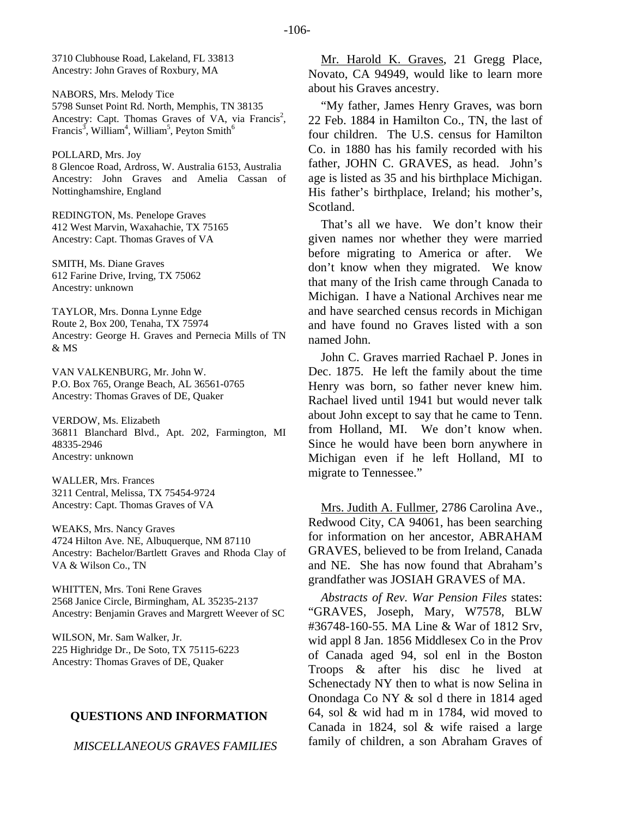3710 Clubhouse Road, Lakeland, FL 33813 Ancestry: John Graves of Roxbury, MA

NABORS, Mrs. Melody Tice 5798 Sunset Point Rd. North, Memphis, TN 38135 Ancestry: Capt. Thomas Graves of VA, via Francis<sup>2</sup>, Francis<sup>3</sup>, William<sup>4</sup>, William<sup>5</sup>, Peyton Smith<sup>6</sup>

POLLARD, Mrs. Joy

8 Glencoe Road, Ardross, W. Australia 6153, Australia Ancestry: John Graves and Amelia Cassan of Nottinghamshire, England

REDINGTON, Ms. Penelope Graves 412 West Marvin, Waxahachie, TX 75165 Ancestry: Capt. Thomas Graves of VA

SMITH, Ms. Diane Graves 612 Farine Drive, Irving, TX 75062 Ancestry: unknown

TAYLOR, Mrs. Donna Lynne Edge Route 2, Box 200, Tenaha, TX 75974 Ancestry: George H. Graves and Pernecia Mills of TN & MS

VAN VALKENBURG, Mr. John W. P.O. Box 765, Orange Beach, AL 36561-0765 Ancestry: Thomas Graves of DE, Quaker

VERDOW, Ms. Elizabeth 36811 Blanchard Blvd., Apt. 202, Farmington, MI 48335-2946 Ancestry: unknown

WALLER, Mrs. Frances 3211 Central, Melissa, TX 75454-9724 Ancestry: Capt. Thomas Graves of VA

WEAKS, Mrs. Nancy Graves 4724 Hilton Ave. NE, Albuquerque, NM 87110 Ancestry: Bachelor/Bartlett Graves and Rhoda Clay of VA & Wilson Co., TN

WHITTEN, Mrs. Toni Rene Graves 2568 Janice Circle, Birmingham, AL 35235-2137 Ancestry: Benjamin Graves and Margrett Weever of SC

WILSON, Mr. Sam Walker, Jr. 225 Highridge Dr., De Soto, TX 75115-6223 Ancestry: Thomas Graves of DE, Quaker

#### **QUESTIONS AND INFORMATION**

*MISCELLANEOUS GRAVES FAMILIES* 

Mr. Harold K. Graves, 21 Gregg Place, Novato, CA 94949, would like to learn more about his Graves ancestry.

"My father, James Henry Graves, was born 22 Feb. 1884 in Hamilton Co., TN, the last of four children. The U.S. census for Hamilton Co. in 1880 has his family recorded with his father, JOHN C. GRAVES, as head. John's age is listed as 35 and his birthplace Michigan. His father's birthplace, Ireland; his mother's, Scotland.

That's all we have. We don't know their given names nor whether they were married before migrating to America or after. We don't know when they migrated. We know that many of the Irish came through Canada to Michigan. I have a National Archives near me and have searched census records in Michigan and have found no Graves listed with a son named John.

John C. Graves married Rachael P. Jones in Dec. 1875. He left the family about the time Henry was born, so father never knew him. Rachael lived until 1941 but would never talk about John except to say that he came to Tenn. from Holland, MI. We don't know when. Since he would have been born anywhere in Michigan even if he left Holland, MI to migrate to Tennessee."

Mrs. Judith A. Fullmer, 2786 Carolina Ave., Redwood City, CA 94061, has been searching for information on her ancestor, ABRAHAM GRAVES, believed to be from Ireland, Canada and NE. She has now found that Abraham's grandfather was JOSIAH GRAVES of MA.

*Abstracts of Rev. War Pension Files* states: "GRAVES, Joseph, Mary, W7578, BLW #36748-160-55. MA Line & War of 1812 Srv, wid appl 8 Jan. 1856 Middlesex Co in the Prov of Canada aged 94, sol enl in the Boston Troops & after his disc he lived at Schenectady NY then to what is now Selina in Onondaga Co NY & sol d there in 1814 aged 64, sol & wid had m in 1784, wid moved to Canada in 1824, sol & wife raised a large family of children, a son Abraham Graves of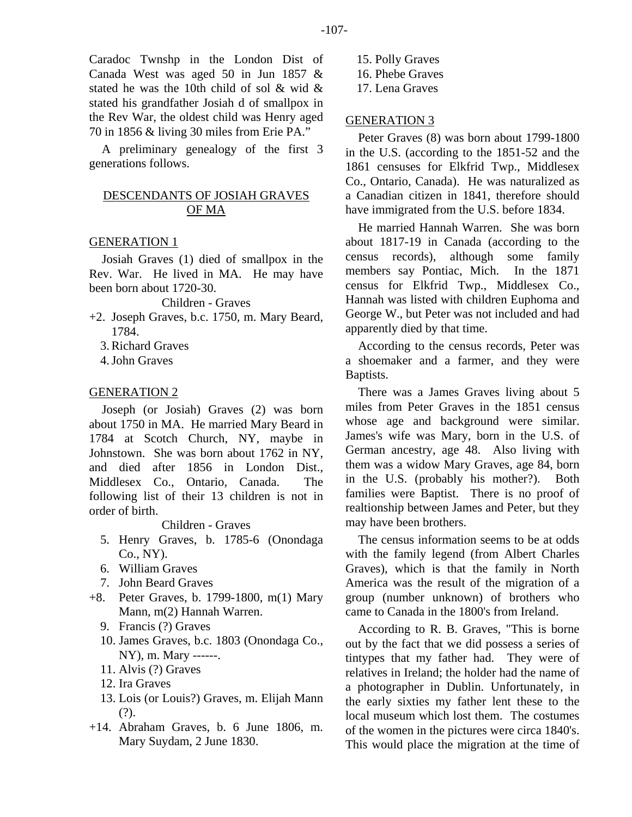Caradoc Twnshp in the London Dist of Canada West was aged 50 in Jun 1857 & stated he was the 10th child of sol & wid & stated his grandfather Josiah d of smallpox in the Rev War, the oldest child was Henry aged 70 in 1856 & living 30 miles from Erie PA."

A preliminary genealogy of the first 3 generations follows.

## DESCENDANTS OF JOSIAH GRAVES OF MA

#### GENERATION 1

Josiah Graves (1) died of smallpox in the Rev. War. He lived in MA. He may have been born about 1720-30.

Children - Graves

- +2. Joseph Graves, b.c. 1750, m. Mary Beard, 1784.
	- 3. Richard Graves
	- 4. John Graves

#### GENERATION 2

Joseph (or Josiah) Graves (2) was born about 1750 in MA. He married Mary Beard in 1784 at Scotch Church, NY, maybe in Johnstown. She was born about 1762 in NY, and died after 1856 in London Dist., Middlesex Co., Ontario, Canada. The following list of their 13 children is not in order of birth.

Children - Graves

- 5. Henry Graves, b. 1785-6 (Onondaga Co., NY).
- 6. William Graves
- 7. John Beard Graves
- +8. Peter Graves, b. 1799-1800, m(1) Mary Mann, m(2) Hannah Warren.
	- 9. Francis (?) Graves
	- 10. James Graves, b.c. 1803 (Onondaga Co., NY), m. Mary ------.
	- 11. Alvis (?) Graves
	- 12. Ira Graves
	- 13. Lois (or Louis?) Graves, m. Elijah Mann (?).
- +14. Abraham Graves, b. 6 June 1806, m. Mary Suydam, 2 June 1830.

 15. Polly Graves 16. Phebe Graves 17. Lena Graves

#### GENERATION 3

Peter Graves (8) was born about 1799-1800 in the U.S. (according to the 1851-52 and the 1861 censuses for Elkfrid Twp., Middlesex Co., Ontario, Canada). He was naturalized as a Canadian citizen in 1841, therefore should have immigrated from the U.S. before 1834.

He married Hannah Warren. She was born about 1817-19 in Canada (according to the census records), although some family members say Pontiac, Mich. In the 1871 census for Elkfrid Twp., Middlesex Co., Hannah was listed with children Euphoma and George W., but Peter was not included and had apparently died by that time.

According to the census records, Peter was a shoemaker and a farmer, and they were Baptists.

There was a James Graves living about 5 miles from Peter Graves in the 1851 census whose age and background were similar. James's wife was Mary, born in the U.S. of German ancestry, age 48. Also living with them was a widow Mary Graves, age 84, born in the U.S. (probably his mother?). Both families were Baptist. There is no proof of realtionship between James and Peter, but they may have been brothers.

The census information seems to be at odds with the family legend (from Albert Charles Graves), which is that the family in North America was the result of the migration of a group (number unknown) of brothers who came to Canada in the 1800's from Ireland.

According to R. B. Graves, "This is borne out by the fact that we did possess a series of tintypes that my father had. They were of relatives in Ireland; the holder had the name of a photographer in Dublin. Unfortunately, in the early sixties my father lent these to the local museum which lost them. The costumes of the women in the pictures were circa 1840's. This would place the migration at the time of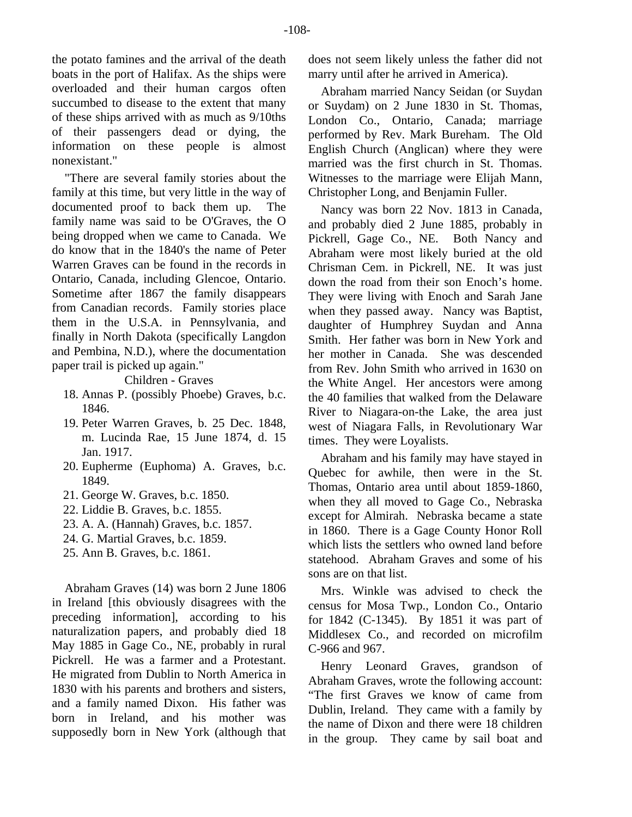the potato famines and the arrival of the death boats in the port of Halifax. As the ships were overloaded and their human cargos often succumbed to disease to the extent that many of these ships arrived with as much as 9/10ths of their passengers dead or dying, the information on these people is almost nonexistant."

"There are several family stories about the family at this time, but very little in the way of documented proof to back them up. The family name was said to be O'Graves, the O being dropped when we came to Canada. We do know that in the 1840's the name of Peter Warren Graves can be found in the records in Ontario, Canada, including Glencoe, Ontario. Sometime after 1867 the family disappears from Canadian records. Family stories place them in the U.S.A. in Pennsylvania, and finally in North Dakota (specifically Langdon and Pembina, N.D.), where the documentation paper trail is picked up again."

Children - Graves

- 18. Annas P. (possibly Phoebe) Graves, b.c. 1846.
- 19. Peter Warren Graves, b. 25 Dec. 1848, m. Lucinda Rae, 15 June 1874, d. 15 Jan. 1917.
- 20. Eupherme (Euphoma) A. Graves, b.c. 1849.
- 21. George W. Graves, b.c. 1850.
- 22. Liddie B. Graves, b.c. 1855.
- 23. A. A. (Hannah) Graves, b.c. 1857.
- 24. G. Martial Graves, b.c. 1859.
- 25. Ann B. Graves, b.c. 1861.

Abraham Graves (14) was born 2 June 1806 in Ireland [this obviously disagrees with the preceding information], according to his naturalization papers, and probably died 18 May 1885 in Gage Co., NE, probably in rural Pickrell. He was a farmer and a Protestant. He migrated from Dublin to North America in 1830 with his parents and brothers and sisters, and a family named Dixon. His father was born in Ireland, and his mother was supposedly born in New York (although that does not seem likely unless the father did not marry until after he arrived in America).

Abraham married Nancy Seidan (or Suydan or Suydam) on 2 June 1830 in St. Thomas, London Co., Ontario, Canada; marriage performed by Rev. Mark Bureham. The Old English Church (Anglican) where they were married was the first church in St. Thomas. Witnesses to the marriage were Elijah Mann, Christopher Long, and Benjamin Fuller.

Nancy was born 22 Nov. 1813 in Canada, and probably died 2 June 1885, probably in Pickrell, Gage Co., NE. Both Nancy and Abraham were most likely buried at the old Chrisman Cem. in Pickrell, NE. It was just down the road from their son Enoch's home. They were living with Enoch and Sarah Jane when they passed away. Nancy was Baptist, daughter of Humphrey Suydan and Anna Smith. Her father was born in New York and her mother in Canada. She was descended from Rev. John Smith who arrived in 1630 on the White Angel. Her ancestors were among the 40 families that walked from the Delaware River to Niagara-on-the Lake, the area just west of Niagara Falls, in Revolutionary War times. They were Loyalists.

Abraham and his family may have stayed in Quebec for awhile, then were in the St. Thomas, Ontario area until about 1859-1860, when they all moved to Gage Co., Nebraska except for Almirah. Nebraska became a state in 1860. There is a Gage County Honor Roll which lists the settlers who owned land before statehood. Abraham Graves and some of his sons are on that list.

Mrs. Winkle was advised to check the census for Mosa Twp., London Co., Ontario for 1842 (C-1345). By 1851 it was part of Middlesex Co., and recorded on microfilm C-966 and 967.

Henry Leonard Graves, grandson of Abraham Graves, wrote the following account: "The first Graves we know of came from Dublin, Ireland. They came with a family by the name of Dixon and there were 18 children in the group. They came by sail boat and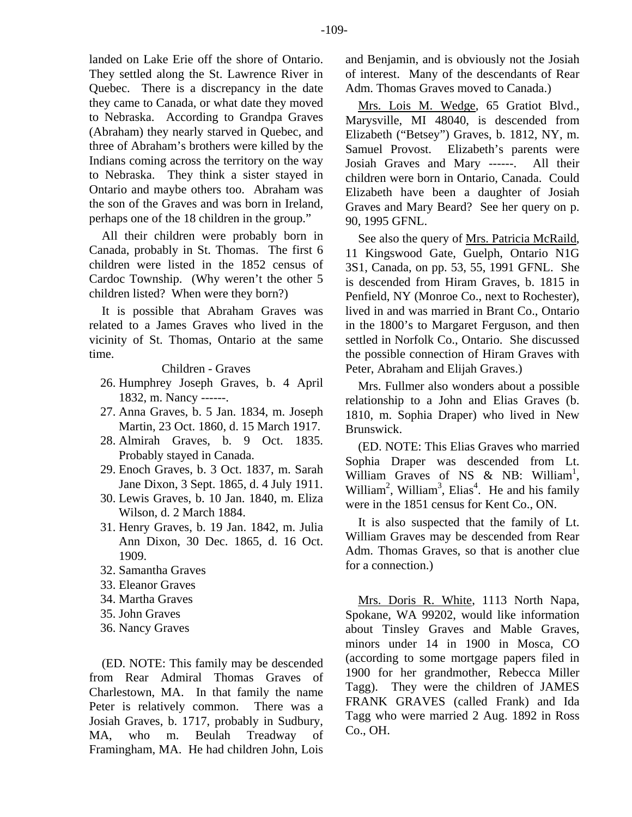landed on Lake Erie off the shore of Ontario. They settled along the St. Lawrence River in Quebec. There is a discrepancy in the date they came to Canada, or what date they moved to Nebraska. According to Grandpa Graves (Abraham) they nearly starved in Quebec, and three of Abraham's brothers were killed by the Indians coming across the territory on the way to Nebraska. They think a sister stayed in Ontario and maybe others too. Abraham was the son of the Graves and was born in Ireland, perhaps one of the 18 children in the group."

All their children were probably born in Canada, probably in St. Thomas. The first 6 children were listed in the 1852 census of Cardoc Township. (Why weren't the other 5 children listed? When were they born?)

It is possible that Abraham Graves was related to a James Graves who lived in the vicinity of St. Thomas, Ontario at the same time.

Children - Graves

- 26. Humphrey Joseph Graves, b. 4 April 1832, m. Nancy ------.
- 27. Anna Graves, b. 5 Jan. 1834, m. Joseph Martin, 23 Oct. 1860, d. 15 March 1917.
- 28. Almirah Graves, b. 9 Oct. 1835. Probably stayed in Canada.
- 29. Enoch Graves, b. 3 Oct. 1837, m. Sarah Jane Dixon, 3 Sept. 1865, d. 4 July 1911.
- 30. Lewis Graves, b. 10 Jan. 1840, m. Eliza Wilson, d. 2 March 1884.
- 31. Henry Graves, b. 19 Jan. 1842, m. Julia Ann Dixon, 30 Dec. 1865, d. 16 Oct. 1909.
- 32. Samantha Graves
- 33. Eleanor Graves
- 34. Martha Graves
- 35. John Graves
- 36. Nancy Graves

(ED. NOTE: This family may be descended from Rear Admiral Thomas Graves of Charlestown, MA. In that family the name Peter is relatively common. There was a Josiah Graves, b. 1717, probably in Sudbury, MA, who m. Beulah Treadway of Framingham, MA. He had children John, Lois and Benjamin, and is obviously not the Josiah of interest. Many of the descendants of Rear Adm. Thomas Graves moved to Canada.)

Mrs. Lois M. Wedge, 65 Gratiot Blvd., Marysville, MI 48040, is descended from Elizabeth ("Betsey") Graves, b. 1812, NY, m. Samuel Provost. Elizabeth's parents were Josiah Graves and Mary ------. All their children were born in Ontario, Canada. Could Elizabeth have been a daughter of Josiah Graves and Mary Beard? See her query on p. 90, 1995 GFNL.

See also the query of Mrs. Patricia McRaild, 11 Kingswood Gate, Guelph, Ontario N1G 3S1, Canada, on pp. 53, 55, 1991 GFNL. She is descended from Hiram Graves, b. 1815 in Penfield, NY (Monroe Co., next to Rochester), lived in and was married in Brant Co., Ontario in the 1800's to Margaret Ferguson, and then settled in Norfolk Co., Ontario. She discussed the possible connection of Hiram Graves with Peter, Abraham and Elijah Graves.)

Mrs. Fullmer also wonders about a possible relationship to a John and Elias Graves (b. 1810, m. Sophia Draper) who lived in New Brunswick.

(ED. NOTE: This Elias Graves who married Sophia Draper was descended from Lt. William Graves of NS & NB: William<sup>1</sup>, William<sup>2</sup>, William<sup>3</sup>, Elias<sup>4</sup>. He and his family were in the 1851 census for Kent Co., ON.

It is also suspected that the family of Lt. William Graves may be descended from Rear Adm. Thomas Graves, so that is another clue for a connection.)

Mrs. Doris R. White, 1113 North Napa, Spokane, WA 99202, would like information about Tinsley Graves and Mable Graves, minors under 14 in 1900 in Mosca, CO (according to some mortgage papers filed in 1900 for her grandmother, Rebecca Miller Tagg). They were the children of JAMES FRANK GRAVES (called Frank) and Ida Tagg who were married 2 Aug. 1892 in Ross Co., OH.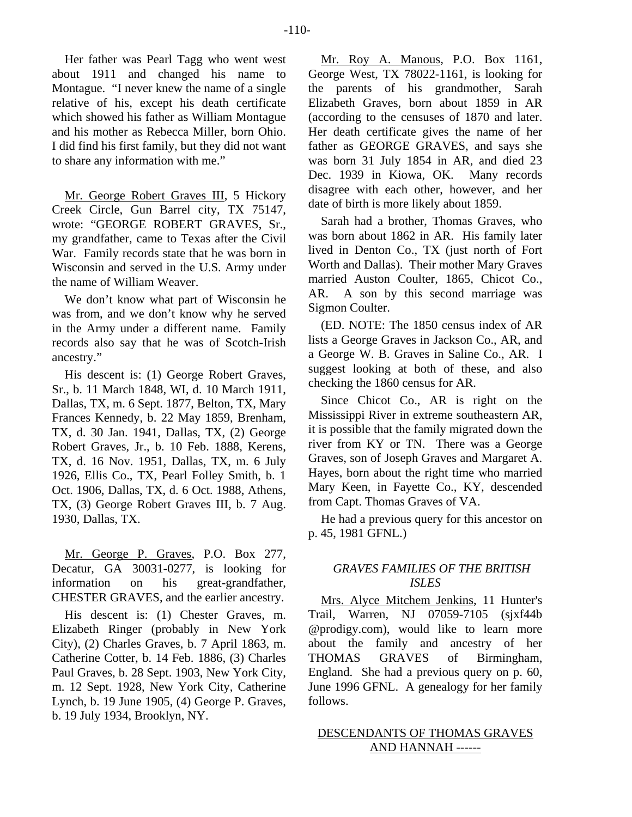Her father was Pearl Tagg who went west about 1911 and changed his name to Montague. "I never knew the name of a single relative of his, except his death certificate which showed his father as William Montague and his mother as Rebecca Miller, born Ohio. I did find his first family, but they did not want to share any information with me."

Mr. George Robert Graves III, 5 Hickory Creek Circle, Gun Barrel city, TX 75147, wrote: "GEORGE ROBERT GRAVES, Sr., my grandfather, came to Texas after the Civil War. Family records state that he was born in Wisconsin and served in the U.S. Army under the name of William Weaver.

We don't know what part of Wisconsin he was from, and we don't know why he served in the Army under a different name. Family records also say that he was of Scotch-Irish ancestry."

His descent is: (1) George Robert Graves, Sr., b. 11 March 1848, WI, d. 10 March 1911, Dallas, TX, m. 6 Sept. 1877, Belton, TX, Mary Frances Kennedy, b. 22 May 1859, Brenham, TX, d. 30 Jan. 1941, Dallas, TX, (2) George Robert Graves, Jr., b. 10 Feb. 1888, Kerens, TX, d. 16 Nov. 1951, Dallas, TX, m. 6 July 1926, Ellis Co., TX, Pearl Folley Smith, b. 1 Oct. 1906, Dallas, TX, d. 6 Oct. 1988, Athens, TX, (3) George Robert Graves III, b. 7 Aug. 1930, Dallas, TX.

Mr. George P. Graves, P.O. Box 277, Decatur, GA 30031-0277, is looking for information on his great-grandfather, CHESTER GRAVES, and the earlier ancestry.

His descent is: (1) Chester Graves, m. Elizabeth Ringer (probably in New York City), (2) Charles Graves, b. 7 April 1863, m. Catherine Cotter, b. 14 Feb. 1886, (3) Charles Paul Graves, b. 28 Sept. 1903, New York City, m. 12 Sept. 1928, New York City, Catherine Lynch, b. 19 June 1905, (4) George P. Graves, b. 19 July 1934, Brooklyn, NY.

Mr. Roy A. Manous, P.O. Box 1161, George West, TX 78022-1161, is looking for the parents of his grandmother, Sarah Elizabeth Graves, born about 1859 in AR (according to the censuses of 1870 and later. Her death certificate gives the name of her father as GEORGE GRAVES, and says she was born 31 July 1854 in AR, and died 23 Dec. 1939 in Kiowa, OK. Many records disagree with each other, however, and her date of birth is more likely about 1859.

Sarah had a brother, Thomas Graves, who was born about 1862 in AR. His family later lived in Denton Co., TX (just north of Fort Worth and Dallas). Their mother Mary Graves married Auston Coulter, 1865, Chicot Co., AR. A son by this second marriage was Sigmon Coulter.

(ED. NOTE: The 1850 census index of AR lists a George Graves in Jackson Co., AR, and a George W. B. Graves in Saline Co., AR. I suggest looking at both of these, and also checking the 1860 census for AR.

Since Chicot Co., AR is right on the Mississippi River in extreme southeastern AR, it is possible that the family migrated down the river from KY or TN. There was a George Graves, son of Joseph Graves and Margaret A. Hayes, born about the right time who married Mary Keen, in Fayette Co., KY, descended from Capt. Thomas Graves of VA.

He had a previous query for this ancestor on p. 45, 1981 GFNL.)

## *GRAVES FAMILIES OF THE BRITISH ISLES*

Mrs. Alyce Mitchem Jenkins, 11 Hunter's Trail, Warren, NJ 07059-7105 (sjxf44b @prodigy.com), would like to learn more about the family and ancestry of her THOMAS GRAVES of Birmingham, England. She had a previous query on p. 60, June 1996 GFNL. A genealogy for her family follows.

## DESCENDANTS OF THOMAS GRAVES AND HANNAH ------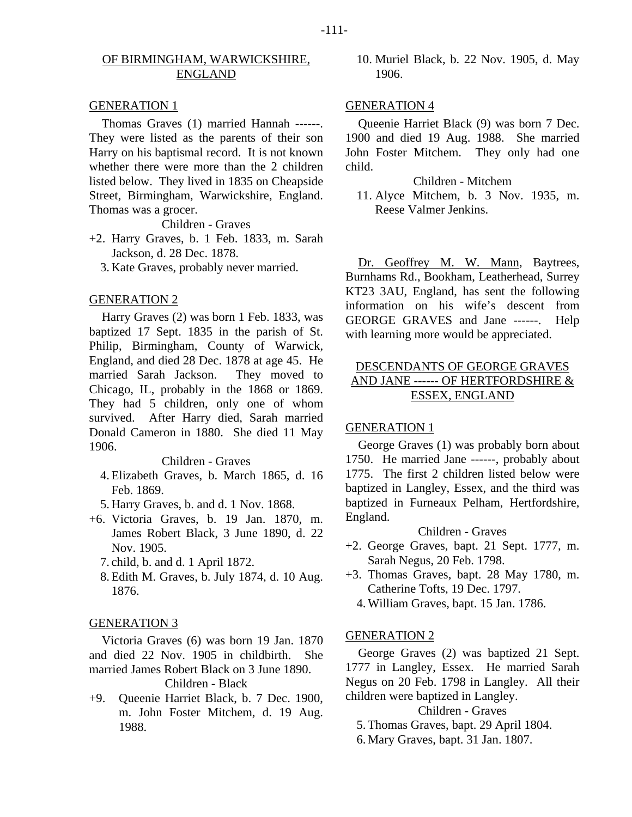## OF BIRMINGHAM, WARWICKSHIRE, ENGLAND

#### GENERATION 1

Thomas Graves (1) married Hannah ------. They were listed as the parents of their son Harry on his baptismal record. It is not known whether there were more than the 2 children listed below. They lived in 1835 on Cheapside Street, Birmingham, Warwickshire, England. Thomas was a grocer.

Children - Graves

- +2. Harry Graves, b. 1 Feb. 1833, m. Sarah Jackson, d. 28 Dec. 1878.
	- 3. Kate Graves, probably never married.

#### GENERATION 2

Harry Graves (2) was born 1 Feb. 1833, was baptized 17 Sept. 1835 in the parish of St. Philip, Birmingham, County of Warwick, England, and died 28 Dec. 1878 at age 45. He married Sarah Jackson. They moved to Chicago, IL, probably in the 1868 or 1869. They had 5 children, only one of whom survived. After Harry died, Sarah married Donald Cameron in 1880. She died 11 May 1906.

#### Children - Graves

- 4. Elizabeth Graves, b. March 1865, d. 16 Feb. 1869.
- 5. Harry Graves, b. and d. 1 Nov. 1868.
- +6. Victoria Graves, b. 19 Jan. 1870, m. James Robert Black, 3 June 1890, d. 22 Nov. 1905.
	- 7. child, b. and d. 1 April 1872.
	- 8. Edith M. Graves, b. July 1874, d. 10 Aug. 1876.

#### GENERATION 3

Victoria Graves (6) was born 19 Jan. 1870 and died 22 Nov. 1905 in childbirth. She married James Robert Black on 3 June 1890.

#### Children - Black

+9. Queenie Harriet Black, b. 7 Dec. 1900, m. John Foster Mitchem, d. 19 Aug. 1988.

 10. Muriel Black, b. 22 Nov. 1905, d. May 1906.

#### GENERATION 4

Queenie Harriet Black (9) was born 7 Dec. 1900 and died 19 Aug. 1988. She married John Foster Mitchem. They only had one child.

#### Children - Mitchem

 11. Alyce Mitchem, b. 3 Nov. 1935, m. Reese Valmer Jenkins.

Dr. Geoffrey M. W. Mann, Baytrees, Burnhams Rd., Bookham, Leatherhead, Surrey KT23 3AU, England, has sent the following information on his wife's descent from GEORGE GRAVES and Jane ------. Help with learning more would be appreciated.

## DESCENDANTS OF GEORGE GRAVES AND JANE ------ OF HERTFORDSHIRE & ESSEX, ENGLAND

#### GENERATION 1

George Graves (1) was probably born about 1750. He married Jane ------, probably about 1775. The first 2 children listed below were baptized in Langley, Essex, and the third was baptized in Furneaux Pelham, Hertfordshire, England.

#### Children - Graves

- +2. George Graves, bapt. 21 Sept. 1777, m. Sarah Negus, 20 Feb. 1798.
- +3. Thomas Graves, bapt. 28 May 1780, m. Catherine Tofts, 19 Dec. 1797.
	- 4. William Graves, bapt. 15 Jan. 1786.

#### GENERATION 2

George Graves (2) was baptized 21 Sept. 1777 in Langley, Essex. He married Sarah Negus on 20 Feb. 1798 in Langley. All their children were baptized in Langley.

## Children - Graves

- 5. Thomas Graves, bapt. 29 April 1804.
- 6. Mary Graves, bapt. 31 Jan. 1807.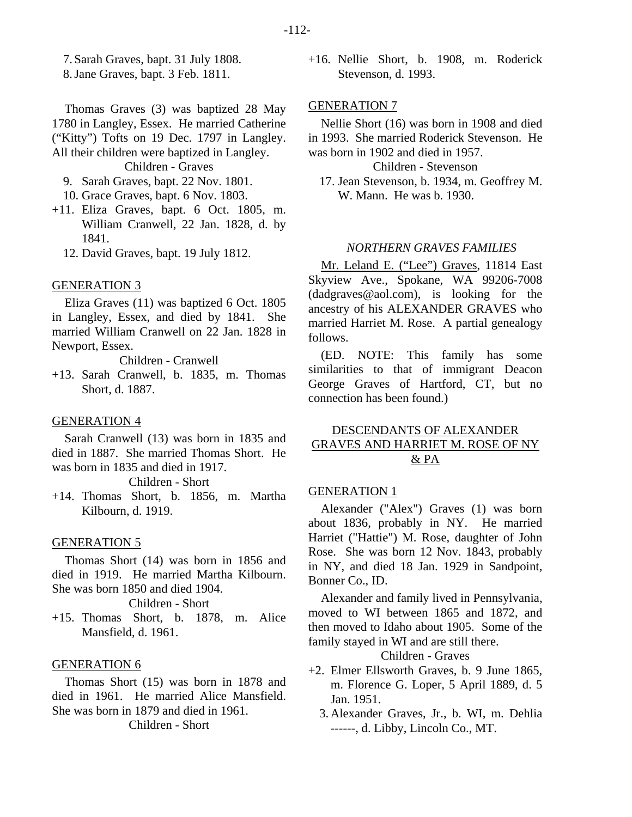7. Sarah Graves, bapt. 31 July 1808.

8. Jane Graves, bapt. 3 Feb. 1811.

Thomas Graves (3) was baptized 28 May 1780 in Langley, Essex. He married Catherine ("Kitty") Tofts on 19 Dec. 1797 in Langley. All their children were baptized in Langley. Children - Graves

- 9. Sarah Graves, bapt. 22 Nov. 1801.
- 10. Grace Graves, bapt. 6 Nov. 1803.
- +11. Eliza Graves, bapt. 6 Oct. 1805, m. William Cranwell, 22 Jan. 1828, d. by 1841.
	- 12. David Graves, bapt. 19 July 1812.

#### GENERATION 3

Eliza Graves (11) was baptized 6 Oct. 1805 in Langley, Essex, and died by 1841. She married William Cranwell on 22 Jan. 1828 in Newport, Essex.

Children - Cranwell

+13. Sarah Cranwell, b. 1835, m. Thomas Short, d. 1887.

#### GENERATION 4

Sarah Cranwell (13) was born in 1835 and died in 1887. She married Thomas Short. He was born in 1835 and died in 1917.

Children - Short

+14. Thomas Short, b. 1856, m. Martha Kilbourn, d. 1919.

#### GENERATION 5

Thomas Short (14) was born in 1856 and died in 1919. He married Martha Kilbourn. She was born 1850 and died 1904.

Children - Short

+15. Thomas Short, b. 1878, m. Alice Mansfield, d. 1961.

#### GENERATION 6

Thomas Short (15) was born in 1878 and died in 1961. He married Alice Mansfield. She was born in 1879 and died in 1961.

Children - Short

+16. Nellie Short, b. 1908, m. Roderick Stevenson, d. 1993.

#### GENERATION 7

Nellie Short (16) was born in 1908 and died in 1993. She married Roderick Stevenson. He was born in 1902 and died in 1957.

Children - Stevenson

 17. Jean Stevenson, b. 1934, m. Geoffrey M. W. Mann. He was b. 1930.

#### *NORTHERN GRAVES FAMILIES*

Mr. Leland E. ("Lee") Graves, 11814 East Skyview Ave., Spokane, WA 99206-7008 (dadgraves@aol.com), is looking for the ancestry of his ALEXANDER GRAVES who married Harriet M. Rose. A partial genealogy follows.

(ED. NOTE: This family has some similarities to that of immigrant Deacon George Graves of Hartford, CT, but no connection has been found.)

## DESCENDANTS OF ALEXANDER GRAVES AND HARRIET M. ROSE OF NY & PA

## GENERATION 1

Alexander ("Alex") Graves (1) was born about 1836, probably in NY. He married Harriet ("Hattie") M. Rose, daughter of John Rose. She was born 12 Nov. 1843, probably in NY, and died 18 Jan. 1929 in Sandpoint, Bonner Co., ID.

Alexander and family lived in Pennsylvania, moved to WI between 1865 and 1872, and then moved to Idaho about 1905. Some of the family stayed in WI and are still there.

Children - Graves

- +2. Elmer Ellsworth Graves, b. 9 June 1865, m. Florence G. Loper, 5 April 1889, d. 5 Jan. 1951.
	- 3. Alexander Graves, Jr., b. WI, m. Dehlia ------, d. Libby, Lincoln Co., MT.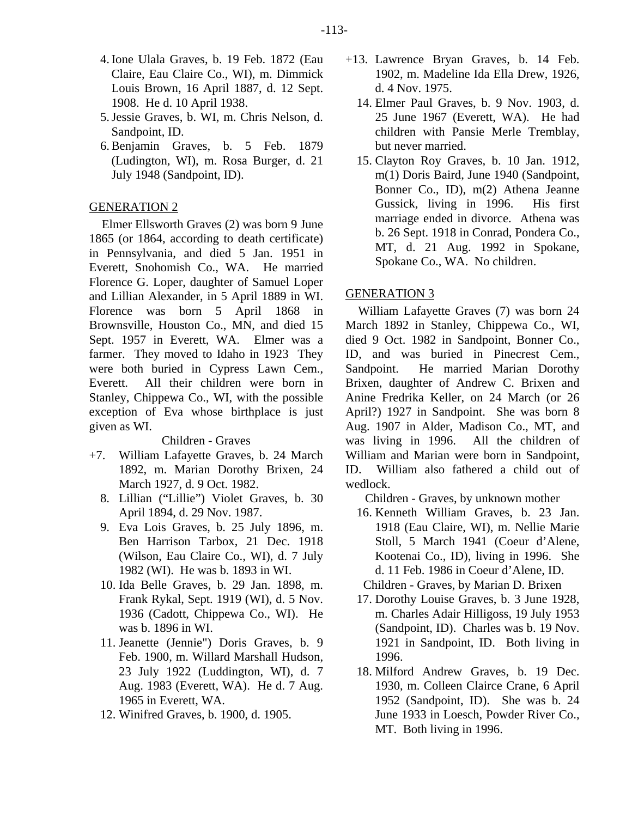- 4. Ione Ulala Graves, b. 19 Feb. 1872 (Eau Claire, Eau Claire Co., WI), m. Dimmick Louis Brown, 16 April 1887, d. 12 Sept. 1908. He d. 10 April 1938.
- 5. Jessie Graves, b. WI, m. Chris Nelson, d. Sandpoint, ID.
- 6. Benjamin Graves, b. 5 Feb. 1879 (Ludington, WI), m. Rosa Burger, d. 21 July 1948 (Sandpoint, ID).

## GENERATION 2

Elmer Ellsworth Graves (2) was born 9 June 1865 (or 1864, according to death certificate) in Pennsylvania, and died 5 Jan. 1951 in Everett, Snohomish Co., WA. He married Florence G. Loper, daughter of Samuel Loper and Lillian Alexander, in 5 April 1889 in WI. Florence was born 5 April 1868 in Brownsville, Houston Co., MN, and died 15 Sept. 1957 in Everett, WA. Elmer was a farmer. They moved to Idaho in 1923 They were both buried in Cypress Lawn Cem., Everett. All their children were born in Stanley, Chippewa Co., WI, with the possible exception of Eva whose birthplace is just given as WI.

#### Children - Graves

- +7. William Lafayette Graves, b. 24 March 1892, m. Marian Dorothy Brixen, 24 March 1927, d. 9 Oct. 1982.
	- 8. Lillian ("Lillie") Violet Graves, b. 30 April 1894, d. 29 Nov. 1987.
	- 9. Eva Lois Graves, b. 25 July 1896, m. Ben Harrison Tarbox, 21 Dec. 1918 (Wilson, Eau Claire Co., WI), d. 7 July 1982 (WI). He was b. 1893 in WI.
	- 10. Ida Belle Graves, b. 29 Jan. 1898, m. Frank Rykal, Sept. 1919 (WI), d. 5 Nov. 1936 (Cadott, Chippewa Co., WI). He was b. 1896 in WI.
	- 11. Jeanette (Jennie") Doris Graves, b. 9 Feb. 1900, m. Willard Marshall Hudson, 23 July 1922 (Luddington, WI), d. 7 Aug. 1983 (Everett, WA). He d. 7 Aug. 1965 in Everett, WA.
	- 12. Winifred Graves, b. 1900, d. 1905.
- +13. Lawrence Bryan Graves, b. 14 Feb. 1902, m. Madeline Ida Ella Drew, 1926, d. 4 Nov. 1975.
	- 14. Elmer Paul Graves, b. 9 Nov. 1903, d. 25 June 1967 (Everett, WA). He had children with Pansie Merle Tremblay, but never married.
	- 15. Clayton Roy Graves, b. 10 Jan. 1912, m(1) Doris Baird, June 1940 (Sandpoint, Bonner Co., ID), m(2) Athena Jeanne Gussick, living in 1996. His first marriage ended in divorce. Athena was b. 26 Sept. 1918 in Conrad, Pondera Co., MT, d. 21 Aug. 1992 in Spokane, Spokane Co., WA. No children.

#### GENERATION 3

William Lafayette Graves (7) was born 24 March 1892 in Stanley, Chippewa Co., WI, died 9 Oct. 1982 in Sandpoint, Bonner Co., ID, and was buried in Pinecrest Cem., Sandpoint. He married Marian Dorothy Brixen, daughter of Andrew C. Brixen and Anine Fredrika Keller, on 24 March (or 26 April?) 1927 in Sandpoint. She was born 8 Aug. 1907 in Alder, Madison Co., MT, and was living in 1996. All the children of William and Marian were born in Sandpoint, ID. William also fathered a child out of wedlock.

Children - Graves, by unknown mother

 16. Kenneth William Graves, b. 23 Jan. 1918 (Eau Claire, WI), m. Nellie Marie Stoll, 5 March 1941 (Coeur d'Alene, Kootenai Co., ID), living in 1996. She d. 11 Feb. 1986 in Coeur d'Alene, ID.

Children - Graves, by Marian D. Brixen

- 17. Dorothy Louise Graves, b. 3 June 1928, m. Charles Adair Hilligoss, 19 July 1953 (Sandpoint, ID). Charles was b. 19 Nov. 1921 in Sandpoint, ID. Both living in 1996.
- 18. Milford Andrew Graves, b. 19 Dec. 1930, m. Colleen Clairce Crane, 6 April 1952 (Sandpoint, ID). She was b. 24 June 1933 in Loesch, Powder River Co., MT. Both living in 1996.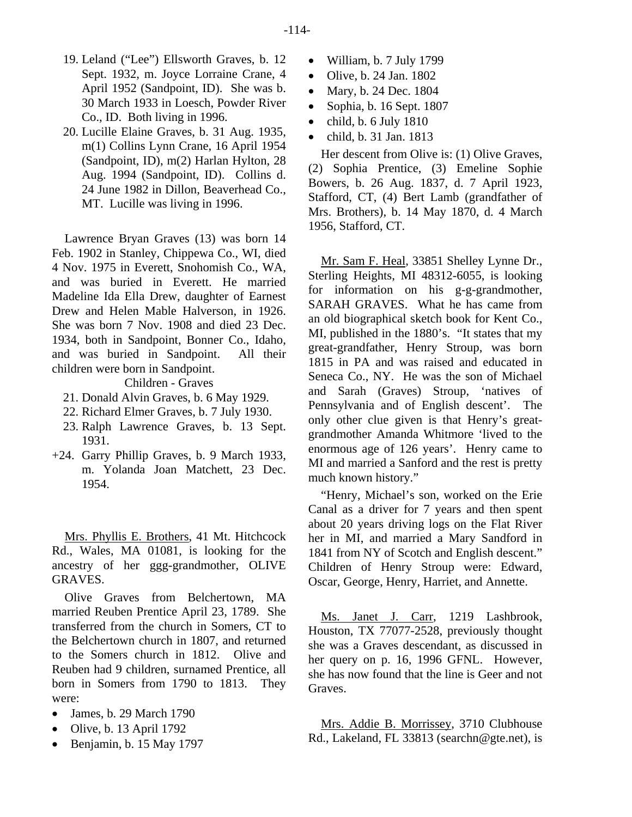- 19. Leland ("Lee") Ellsworth Graves, b. 12 Sept. 1932, m. Joyce Lorraine Crane, 4 April 1952 (Sandpoint, ID). She was b. 30 March 1933 in Loesch, Powder River Co., ID. Both living in 1996.
- 20. Lucille Elaine Graves, b. 31 Aug. 1935, m(1) Collins Lynn Crane, 16 April 1954 (Sandpoint, ID), m(2) Harlan Hylton, 28 Aug. 1994 (Sandpoint, ID). Collins d. 24 June 1982 in Dillon, Beaverhead Co., MT. Lucille was living in 1996.

Lawrence Bryan Graves (13) was born 14 Feb. 1902 in Stanley, Chippewa Co., WI, died 4 Nov. 1975 in Everett, Snohomish Co., WA, and was buried in Everett. He married Madeline Ida Ella Drew, daughter of Earnest Drew and Helen Mable Halverson, in 1926. She was born 7 Nov. 1908 and died 23 Dec. 1934, both in Sandpoint, Bonner Co., Idaho, and was buried in Sandpoint. All their children were born in Sandpoint.

Children - Graves

- 21. Donald Alvin Graves, b. 6 May 1929.
- 22. Richard Elmer Graves, b. 7 July 1930.
- 23. Ralph Lawrence Graves, b. 13 Sept. 1931.
- +24. Garry Phillip Graves, b. 9 March 1933, m. Yolanda Joan Matchett, 23 Dec. 1954.

Mrs. Phyllis E. Brothers, 41 Mt. Hitchcock Rd., Wales, MA 01081, is looking for the ancestry of her ggg-grandmother, OLIVE GRAVES.

Olive Graves from Belchertown, MA married Reuben Prentice April 23, 1789. She transferred from the church in Somers, CT to the Belchertown church in 1807, and returned to the Somers church in 1812. Olive and Reuben had 9 children, surnamed Prentice, all born in Somers from 1790 to 1813. They were:

- James, b. 29 March 1790
- $\bullet$  Olive, b. 13 April 1792
- Benjamin, b. 15 May 1797
- William, b. 7 July 1799
- Olive, b. 24 Jan. 1802
- Mary, b. 24 Dec. 1804
- Sophia, b. 16 Sept. 1807
- $\bullet$  child, b. 6 July 1810
- child, b. 31 Jan. 1813

Her descent from Olive is: (1) Olive Graves, (2) Sophia Prentice, (3) Emeline Sophie Bowers, b. 26 Aug. 1837, d. 7 April 1923, Stafford, CT, (4) Bert Lamb (grandfather of Mrs. Brothers), b. 14 May 1870, d. 4 March 1956, Stafford, CT.

Mr. Sam F. Heal, 33851 Shelley Lynne Dr., Sterling Heights, MI 48312-6055, is looking for information on his g-g-grandmother, SARAH GRAVES. What he has came from an old biographical sketch book for Kent Co., MI, published in the 1880's. "It states that my great-grandfather, Henry Stroup, was born 1815 in PA and was raised and educated in Seneca Co., NY. He was the son of Michael and Sarah (Graves) Stroup, 'natives of Pennsylvania and of English descent'. The only other clue given is that Henry's greatgrandmother Amanda Whitmore 'lived to the enormous age of 126 years'. Henry came to MI and married a Sanford and the rest is pretty much known history."

"Henry, Michael's son, worked on the Erie Canal as a driver for 7 years and then spent about 20 years driving logs on the Flat River her in MI, and married a Mary Sandford in 1841 from NY of Scotch and English descent." Children of Henry Stroup were: Edward, Oscar, George, Henry, Harriet, and Annette.

Ms. Janet J. Carr, 1219 Lashbrook, Houston, TX 77077-2528, previously thought she was a Graves descendant, as discussed in her query on p. 16, 1996 GFNL. However, she has now found that the line is Geer and not Graves.

Mrs. Addie B. Morrissey, 3710 Clubhouse Rd., Lakeland, FL 33813 (searchn@gte.net), is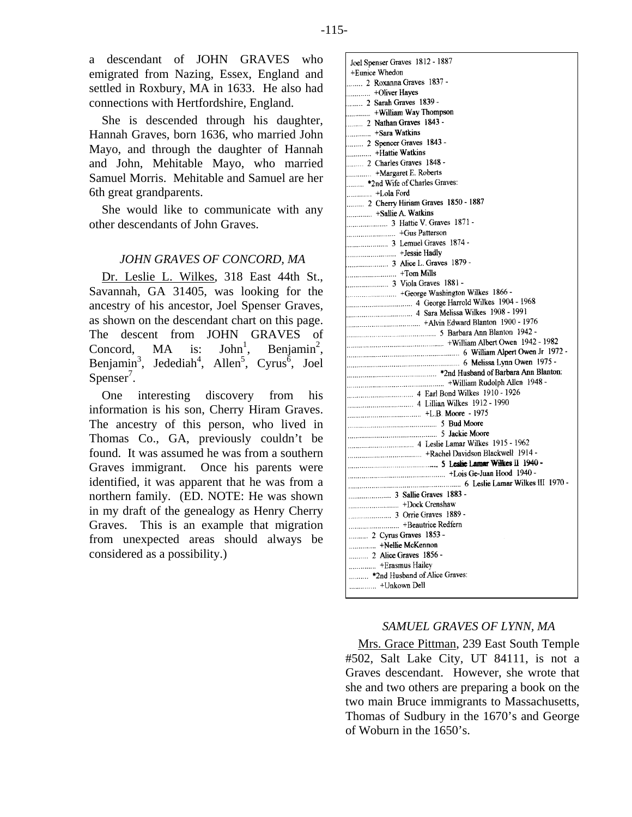a descendant of JOHN GRAVES who emigrated from Nazing, Essex, England and settled in Roxbury, MA in 1633. He also had connections with Hertfordshire, England.

She is descended through his daughter, Hannah Graves, born 1636, who married John Mayo, and through the daughter of Hannah and John, Mehitable Mayo, who married Samuel Morris. Mehitable and Samuel are her 6th great grandparents.

She would like to communicate with any other descendants of John Graves.

## *JOHN GRAVES OF CONCORD, MA*

Dr. Leslie L. Wilkes, 318 East 44th St., Savannah, GA 31405, was looking for the ancestry of his ancestor, Joel Spenser Graves, as shown on the descendant chart on this page. The descent from JOHN GRAVES of Concord, MA is: John<sup>1</sup>, Benjamin<sup>2</sup>, Concord, MA is:  $,$  Benjamin<sup>2</sup>, Benjamin<sup>3</sup>, Jedediah<sup>4</sup>, Allen<sup>5</sup>, Cyrus<sup>6</sup>, Joel Spenser<sup>7</sup>.

One interesting discovery from his information is his son, Cherry Hiram Graves. The ancestry of this person, who lived in Thomas Co., GA, previously couldn't be found. It was assumed he was from a southern Graves immigrant. Once his parents were identified, it was apparent that he was from a northern family. (ED. NOTE: He was shown in my draft of the genealogy as Henry Cherry Graves. This is an example that migration from unexpected areas should always be considered as a possibility.)

Joel Spenser Graves 1812 - 1887 +Eunice Whedon 2 Roxanna Graves 1837 -+Oliver Hayes . . . . . . . . . . . . ........ 2 Sarah Graves 1839 -........ 2 Nathan Graves 1843 -............. +Sara Watkins 2 Spencer Graves 1843 -Hattie Watkins 2 Charles Graves 1848 -. +Margaret E. Roberts . . . . . . . . .............. +Lola Ford  $+$ Sallie A. Watkins  $+$ Tom Mills ................. 5 Barbara Ann Blanton 1942 -- Rachel Davidson Blackwell 1914+ 6 Leslie Lamar Wilkes III 1970 -.......... 2 Cyrus Graves 1853 -.............. +Nellie McKennon .......... 2 Alice Graves 1856 -.............. +Erasmus Hailey .......... \*2nd Husband of Alice Graves: ............... +Unkown Dell

## *SAMUEL GRAVES OF LYNN, MA*

Mrs. Grace Pittman, 239 East South Temple #502, Salt Lake City, UT 84111, is not a Graves descendant. However, she wrote that she and two others are preparing a book on the two main Bruce immigrants to Massachusetts, Thomas of Sudbury in the 1670's and George of Woburn in the 1650's.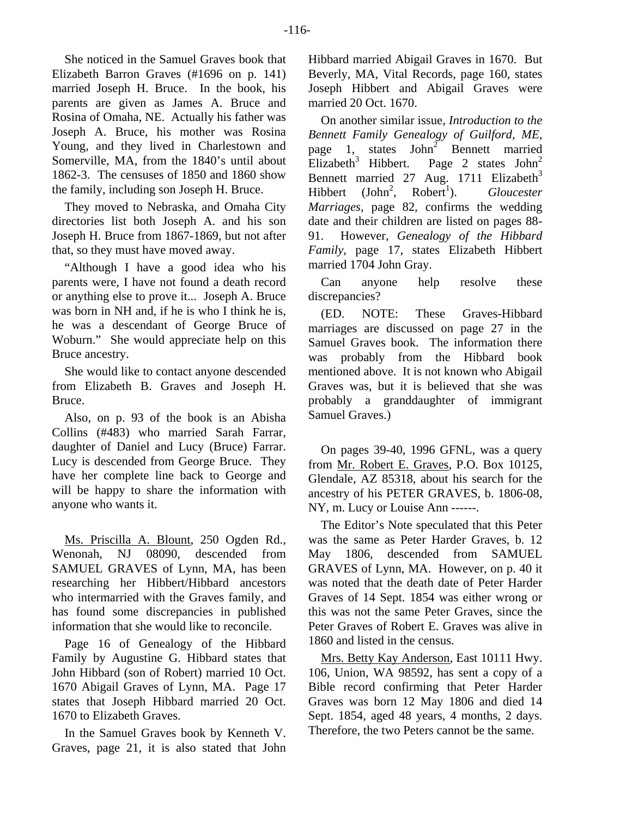She noticed in the Samuel Graves book that Elizabeth Barron Graves (#1696 on p. 141) married Joseph H. Bruce. In the book, his parents are given as James A. Bruce and Rosina of Omaha, NE. Actually his father was Joseph A. Bruce, his mother was Rosina Young, and they lived in Charlestown and Somerville, MA, from the 1840's until about 1862-3. The censuses of 1850 and 1860 show the family, including son Joseph H. Bruce.

They moved to Nebraska, and Omaha City directories list both Joseph A. and his son Joseph H. Bruce from 1867-1869, but not after that, so they must have moved away.

"Although I have a good idea who his parents were, I have not found a death record or anything else to prove it... Joseph A. Bruce was born in NH and, if he is who I think he is, he was a descendant of George Bruce of Woburn." She would appreciate help on this Bruce ancestry.

She would like to contact anyone descended from Elizabeth B. Graves and Joseph H. Bruce.

Also, on p. 93 of the book is an Abisha Collins (#483) who married Sarah Farrar, daughter of Daniel and Lucy (Bruce) Farrar. Lucy is descended from George Bruce. They have her complete line back to George and will be happy to share the information with anyone who wants it.

Ms. Priscilla A. Blount, 250 Ogden Rd., Wenonah, NJ 08090, descended from SAMUEL GRAVES of Lynn, MA, has been researching her Hibbert/Hibbard ancestors who intermarried with the Graves family, and has found some discrepancies in published information that she would like to reconcile.

Page 16 of Genealogy of the Hibbard Family by Augustine G. Hibbard states that John Hibbard (son of Robert) married 10 Oct. 1670 Abigail Graves of Lynn, MA. Page 17 states that Joseph Hibbard married 20 Oct. 1670 to Elizabeth Graves.

In the Samuel Graves book by Kenneth V. Graves, page 21, it is also stated that John

Hibbard married Abigail Graves in 1670. But Beverly, MA, Vital Records, page 160, states Joseph Hibbert and Abigail Graves were married 20 Oct. 1670.

On another similar issue, *Introduction to the Bennett Family Genealogy of Guilford, ME*, page 1, states  $John<sup>2</sup>$  Bennett married Elizabeth<sup>3</sup> Hibbert. Page 2 states John<sup>2</sup> Bennett married 27 Aug. 1711 Elizabeth<sup>3</sup> Hibbert  $(John<sup>2</sup>)$  $Robert<sup>1</sup>$ ). ). *Gloucester Marriages*, page 82, confirms the wedding date and their children are listed on pages 88- 91. However, *Genealogy of the Hibbard Family*, page 17, states Elizabeth Hibbert married 1704 John Gray.

Can anyone help resolve these discrepancies?

(ED. NOTE: These Graves-Hibbard marriages are discussed on page 27 in the Samuel Graves book. The information there was probably from the Hibbard book mentioned above. It is not known who Abigail Graves was, but it is believed that she was probably a granddaughter of immigrant Samuel Graves.)

On pages 39-40, 1996 GFNL, was a query from Mr. Robert E. Graves, P.O. Box 10125, Glendale, AZ 85318, about his search for the ancestry of his PETER GRAVES, b. 1806-08, NY, m. Lucy or Louise Ann ------.

The Editor's Note speculated that this Peter was the same as Peter Harder Graves, b. 12 May 1806, descended from SAMUEL GRAVES of Lynn, MA. However, on p. 40 it was noted that the death date of Peter Harder Graves of 14 Sept. 1854 was either wrong or this was not the same Peter Graves, since the Peter Graves of Robert E. Graves was alive in 1860 and listed in the census.

Mrs. Betty Kay Anderson, East 10111 Hwy. 106, Union, WA 98592, has sent a copy of a Bible record confirming that Peter Harder Graves was born 12 May 1806 and died 14 Sept. 1854, aged 48 years, 4 months, 2 days. Therefore, the two Peters cannot be the same.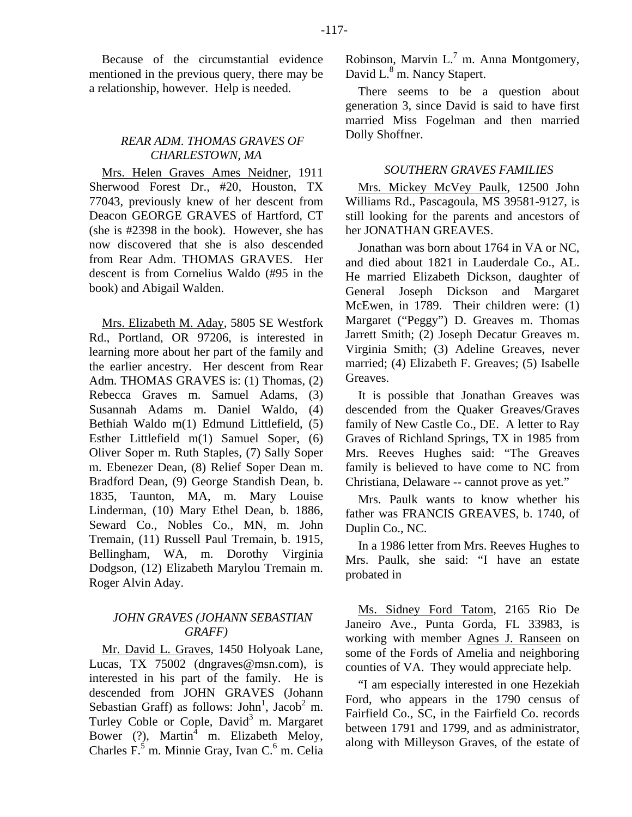Because of the circumstantial evidence mentioned in the previous query, there may be a relationship, however. Help is needed.

## *REAR ADM. THOMAS GRAVES OF CHARLESTOWN, MA*

Mrs. Helen Graves Ames Neidner, 1911 Sherwood Forest Dr., #20, Houston, TX 77043, previously knew of her descent from Deacon GEORGE GRAVES of Hartford, CT (she is #2398 in the book). However, she has now discovered that she is also descended from Rear Adm. THOMAS GRAVES. Her descent is from Cornelius Waldo (#95 in the book) and Abigail Walden.

Mrs. Elizabeth M. Aday, 5805 SE Westfork Rd., Portland, OR 97206, is interested in learning more about her part of the family and the earlier ancestry. Her descent from Rear Adm. THOMAS GRAVES is: (1) Thomas, (2) Rebecca Graves m. Samuel Adams, (3) Susannah Adams m. Daniel Waldo, (4) Bethiah Waldo m(1) Edmund Littlefield, (5) Esther Littlefield m(1) Samuel Soper, (6) Oliver Soper m. Ruth Staples, (7) Sally Soper m. Ebenezer Dean, (8) Relief Soper Dean m. Bradford Dean, (9) George Standish Dean, b. 1835, Taunton, MA, m. Mary Louise Linderman, (10) Mary Ethel Dean, b. 1886, Seward Co., Nobles Co., MN, m. John Tremain, (11) Russell Paul Tremain, b. 1915, Bellingham, WA, m. Dorothy Virginia Dodgson, (12) Elizabeth Marylou Tremain m. Roger Alvin Aday.

## *JOHN GRAVES (JOHANN SEBASTIAN GRAFF)*

Mr. David L. Graves, 1450 Holyoak Lane, Lucas, TX 75002 (dngraves@msn.com), is interested in his part of the family. He is descended from JOHN GRAVES (Johann Sebastian Graff) as follows: John<sup>1</sup>, Jacob<sup>2</sup> m. Turley Coble or Cople, David<sup>3</sup> m. Margaret Bower (?), Martin<sup>4</sup> m. Elizabeth Meloy, Charles F.<sup>5</sup> m. Minnie Gray, Ivan C.<sup>6</sup> m. Celia Robinson, Marvin L. $^7$  m. Anna Montgomery, David L.<sup>8</sup> m. Nancy Stapert.

There seems to be a question about generation 3, since David is said to have first married Miss Fogelman and then married Dolly Shoffner.

## *SOUTHERN GRAVES FAMILIES*

Mrs. Mickey McVey Paulk, 12500 John Williams Rd., Pascagoula, MS 39581-9127, is still looking for the parents and ancestors of her JONATHAN GREAVES.

Jonathan was born about 1764 in VA or NC, and died about 1821 in Lauderdale Co., AL. He married Elizabeth Dickson, daughter of General Joseph Dickson and Margaret McEwen, in 1789. Their children were: (1) Margaret ("Peggy") D. Greaves m. Thomas Jarrett Smith; (2) Joseph Decatur Greaves m. Virginia Smith; (3) Adeline Greaves, never married; (4) Elizabeth F. Greaves; (5) Isabelle Greaves.

It is possible that Jonathan Greaves was descended from the Quaker Greaves/Graves family of New Castle Co., DE. A letter to Ray Graves of Richland Springs, TX in 1985 from Mrs. Reeves Hughes said: "The Greaves family is believed to have come to NC from Christiana, Delaware -- cannot prove as yet."

Mrs. Paulk wants to know whether his father was FRANCIS GREAVES, b. 1740, of Duplin Co., NC.

In a 1986 letter from Mrs. Reeves Hughes to Mrs. Paulk, she said: "I have an estate probated in

Ms. Sidney Ford Tatom, 2165 Rio De Janeiro Ave., Punta Gorda, FL 33983, is working with member Agnes J. Ranseen on some of the Fords of Amelia and neighboring counties of VA. They would appreciate help.

"I am especially interested in one Hezekiah Ford, who appears in the 1790 census of Fairfield Co., SC, in the Fairfield Co. records between 1791 and 1799, and as administrator, along with Milleyson Graves, of the estate of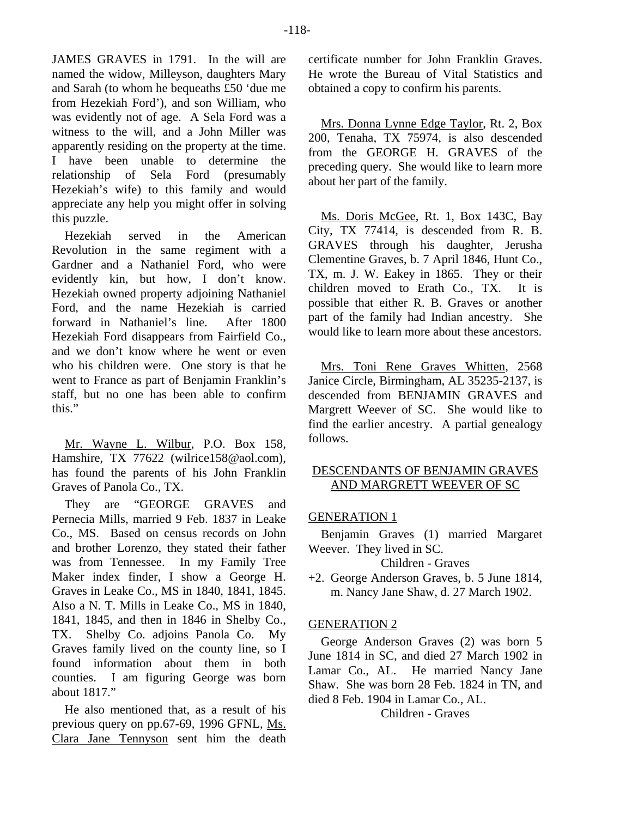JAMES GRAVES in 1791. In the will are named the widow, Milleyson, daughters Mary and Sarah (to whom he bequeaths £50 'due me from Hezekiah Ford'), and son William, who was evidently not of age. A Sela Ford was a witness to the will, and a John Miller was apparently residing on the property at the time. I have been unable to determine the relationship of Sela Ford (presumably Hezekiah's wife) to this family and would appreciate any help you might offer in solving this puzzle.

Hezekiah served in the American Revolution in the same regiment with a Gardner and a Nathaniel Ford, who were evidently kin, but how, I don't know. Hezekiah owned property adjoining Nathaniel Ford, and the name Hezekiah is carried forward in Nathaniel's line. After 1800 Hezekiah Ford disappears from Fairfield Co., and we don't know where he went or even who his children were. One story is that he went to France as part of Benjamin Franklin's staff, but no one has been able to confirm this."

Mr. Wayne L. Wilbur, P.O. Box 158, Hamshire, TX 77622 (wilrice158@aol.com), has found the parents of his John Franklin Graves of Panola Co., TX.

They are "GEORGE GRAVES and Pernecia Mills, married 9 Feb. 1837 in Leake Co., MS. Based on census records on John and brother Lorenzo, they stated their father was from Tennessee. In my Family Tree Maker index finder, I show a George H. Graves in Leake Co., MS in 1840, 1841, 1845. Also a N. T. Mills in Leake Co., MS in 1840, 1841, 1845, and then in 1846 in Shelby Co., TX. Shelby Co. adjoins Panola Co. My Graves family lived on the county line, so I found information about them in both counties. I am figuring George was born about 1817."

He also mentioned that, as a result of his previous query on pp.67-69, 1996 GFNL, Ms. Clara Jane Tennyson sent him the death

certificate number for John Franklin Graves. He wrote the Bureau of Vital Statistics and obtained a copy to confirm his parents.

Mrs. Donna Lynne Edge Taylor, Rt. 2, Box 200, Tenaha, TX 75974, is also descended from the GEORGE H. GRAVES of the preceding query. She would like to learn more about her part of the family.

Ms. Doris McGee, Rt. 1, Box 143C, Bay City, TX 77414, is descended from R. B. GRAVES through his daughter, Jerusha Clementine Graves, b. 7 April 1846, Hunt Co., TX, m. J. W. Eakey in 1865. They or their children moved to Erath Co., TX. It is possible that either R. B. Graves or another part of the family had Indian ancestry. She would like to learn more about these ancestors.

Mrs. Toni Rene Graves Whitten, 2568 Janice Circle, Birmingham, AL 35235-2137, is descended from BENJAMIN GRAVES and Margrett Weever of SC. She would like to find the earlier ancestry. A partial genealogy follows.

# DESCENDANTS OF BENJAMIN GRAVES AND MARGRETT WEEVER OF SC

# GENERATION 1

Benjamin Graves (1) married Margaret Weever. They lived in SC.

Children - Graves

+2. George Anderson Graves, b. 5 June 1814, m. Nancy Jane Shaw, d. 27 March 1902.

# GENERATION 2

George Anderson Graves (2) was born 5 June 1814 in SC, and died 27 March 1902 in Lamar Co., AL. He married Nancy Jane Shaw. She was born 28 Feb. 1824 in TN, and died 8 Feb. 1904 in Lamar Co., AL.

## Children - Graves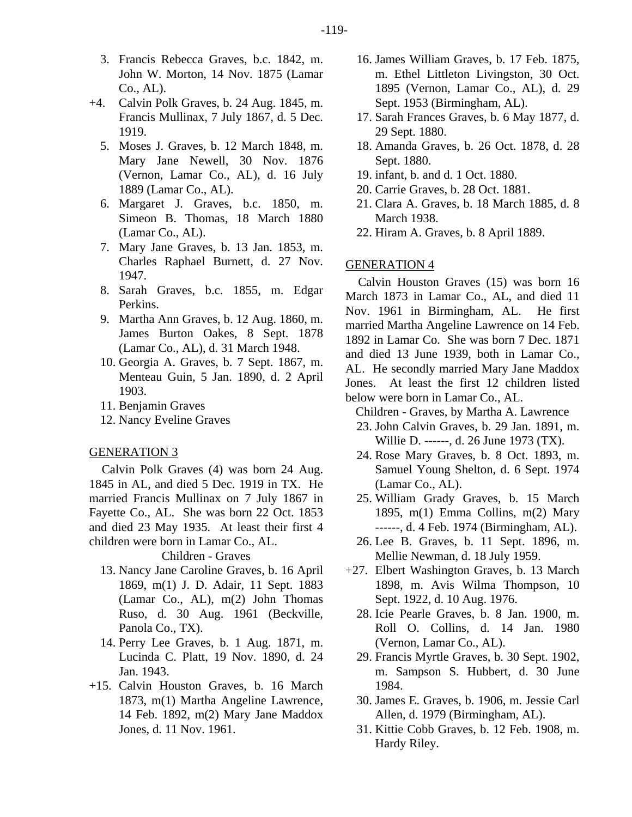- 3. Francis Rebecca Graves, b.c. 1842, m. John W. Morton, 14 Nov. 1875 (Lamar Co., AL).
- +4. Calvin Polk Graves, b. 24 Aug. 1845, m. Francis Mullinax, 7 July 1867, d. 5 Dec. 1919.
	- 5. Moses J. Graves, b. 12 March 1848, m. Mary Jane Newell, 30 Nov. 1876 (Vernon, Lamar Co., AL), d. 16 July 1889 (Lamar Co., AL).
	- 6. Margaret J. Graves, b.c. 1850, m. Simeon B. Thomas, 18 March 1880 (Lamar Co., AL).
	- 7. Mary Jane Graves, b. 13 Jan. 1853, m. Charles Raphael Burnett, d. 27 Nov. 1947.
	- 8. Sarah Graves, b.c. 1855, m. Edgar Perkins.
	- 9. Martha Ann Graves, b. 12 Aug. 1860, m. James Burton Oakes, 8 Sept. 1878 (Lamar Co., AL), d. 31 March 1948.
	- 10. Georgia A. Graves, b. 7 Sept. 1867, m. Menteau Guin, 5 Jan. 1890, d. 2 April 1903.
	- 11. Benjamin Graves
	- 12. Nancy Eveline Graves

#### GENERATION 3

Calvin Polk Graves (4) was born 24 Aug. 1845 in AL, and died 5 Dec. 1919 in TX. He married Francis Mullinax on 7 July 1867 in Fayette Co., AL. She was born 22 Oct. 1853 and died 23 May 1935. At least their first 4 children were born in Lamar Co., AL.

Children - Graves

- 13. Nancy Jane Caroline Graves, b. 16 April 1869, m(1) J. D. Adair, 11 Sept. 1883 (Lamar Co., AL), m(2) John Thomas Ruso, d. 30 Aug. 1961 (Beckville, Panola Co., TX).
- 14. Perry Lee Graves, b. 1 Aug. 1871, m. Lucinda C. Platt, 19 Nov. 1890, d. 24 Jan. 1943.
- +15. Calvin Houston Graves, b. 16 March 1873, m(1) Martha Angeline Lawrence, 14 Feb. 1892, m(2) Mary Jane Maddox Jones, d. 11 Nov. 1961.
- 16. James William Graves, b. 17 Feb. 1875, m. Ethel Littleton Livingston, 30 Oct. 1895 (Vernon, Lamar Co., AL), d. 29 Sept. 1953 (Birmingham, AL).
- 17. Sarah Frances Graves, b. 6 May 1877, d. 29 Sept. 1880.
- 18. Amanda Graves, b. 26 Oct. 1878, d. 28 Sept. 1880.
- 19. infant, b. and d. 1 Oct. 1880.
- 20. Carrie Graves, b. 28 Oct. 1881.
- 21. Clara A. Graves, b. 18 March 1885, d. 8 March 1938.
- 22. Hiram A. Graves, b. 8 April 1889.

#### GENERATION 4

Calvin Houston Graves (15) was born 16 March 1873 in Lamar Co., AL, and died 11 Nov. 1961 in Birmingham, AL. He first married Martha Angeline Lawrence on 14 Feb. 1892 in Lamar Co. She was born 7 Dec. 1871 and died 13 June 1939, both in Lamar Co., AL. He secondly married Mary Jane Maddox Jones. At least the first 12 children listed below were born in Lamar Co., AL.

Children - Graves, by Martha A. Lawrence

- 23. John Calvin Graves, b. 29 Jan. 1891, m. Willie D. ------, d. 26 June 1973 (TX).
- 24. Rose Mary Graves, b. 8 Oct. 1893, m. Samuel Young Shelton, d. 6 Sept. 1974 (Lamar Co., AL).
- 25. William Grady Graves, b. 15 March 1895, m(1) Emma Collins, m(2) Mary ------, d. 4 Feb. 1974 (Birmingham, AL).
- 26. Lee B. Graves, b. 11 Sept. 1896, m. Mellie Newman, d. 18 July 1959.
- +27. Elbert Washington Graves, b. 13 March 1898, m. Avis Wilma Thompson, 10 Sept. 1922, d. 10 Aug. 1976.
	- 28. Icie Pearle Graves, b. 8 Jan. 1900, m. Roll O. Collins, d. 14 Jan. 1980 (Vernon, Lamar Co., AL).
	- 29. Francis Myrtle Graves, b. 30 Sept. 1902, m. Sampson S. Hubbert, d. 30 June 1984.
	- 30. James E. Graves, b. 1906, m. Jessie Carl Allen, d. 1979 (Birmingham, AL).
	- 31. Kittie Cobb Graves, b. 12 Feb. 1908, m. Hardy Riley.